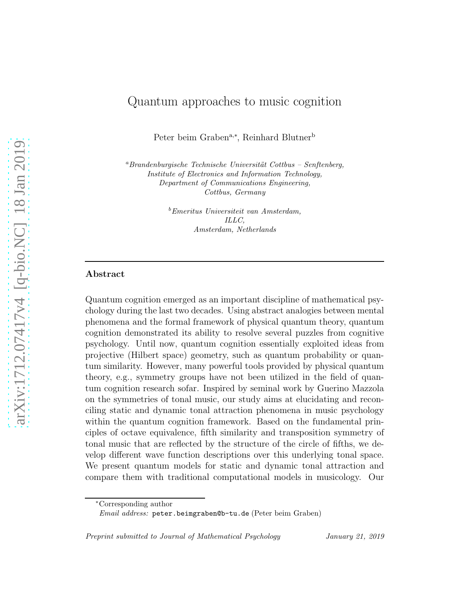# Quantum approaches to music cognition

Peter beim Graben<sup>a,∗</sup>, Reinhard Blutner<sup>b</sup>

 ${}^a$ Brandenburgische Technische Universität Cottbus – Senftenberg, Institute of Electronics and Information Technology, Department of Communications Engineering, Cottbus, Germany

> <sup>b</sup>Emeritus Universiteit van Amsterdam, ILLC, Amsterdam, Netherlands

# Abstract

Quantum cognition emerged as an important discipline of mathematical psychology during the last two decades. Using abstract analogies between mental phenomena and the formal framework of physical quantum theory, quantum cognition demonstrated its ability to resolve several puzzles from cognitive psychology. Until now, quantum cognition essentially exploited ideas from projective (Hilbert space) geometry, such as quantum probability or quantum similarity. However, many powerful tools provided by physical quantum theory, e.g., symmetry groups have not been utilized in the field of quantum cognition research sofar. Inspired by seminal work by Guerino Mazzola on the symmetries of tonal music, our study aims at elucidating and reconciling static and dynamic tonal attraction phenomena in music psychology within the quantum cognition framework. Based on the fundamental principles of octave equivalence, fifth similarity and transposition symmetry of tonal music that are reflected by the structure of the circle of fifths, we develop different wave function descriptions over this underlying tonal space. We present quantum models for static and dynamic tonal attraction and compare them with traditional computational models in musicology. Our

Preprint submitted to Journal of Mathematical Psychology January 21, 2019

<sup>∗</sup>Corresponding author

Email address: peter.beimgraben@b-tu.de (Peter beim Graben)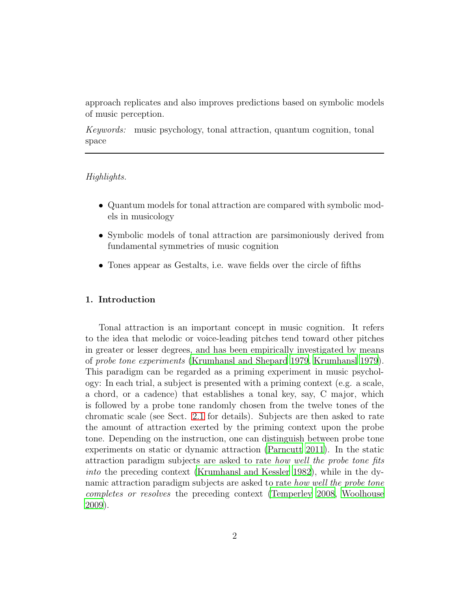approach replicates and also improves predictions based on symbolic models of music perception.

*Keywords:* music psychology, tonal attraction, quantum cognition, tonal space

# *Highlights.*

- Quantum models for tonal attraction are compared with symbolic models in musicology
- Symbolic models of tonal attraction are parsimoniously derived from fundamental symmetries of music cognition
- Tones appear as Gestalts, i.e. wave fields over the circle of fifths

# 1. Introduction

Tonal attraction is an important concept in music cognition. It refers to the idea that melodic or voice-leading pitches tend toward other pitches in greater or lesser degrees, and has been empirically investigated by means of *probe tone experiments* [\(Krumhansl and Shepard 1979](#page-35-0), [Krumhansl 1979\)](#page-34-0). This paradigm can be regarded as a priming experiment in music psychology: In each trial, a subject is presented with a priming context (e.g. a scale, a chord, or a cadence) that establishes a tonal key, say, C major, which is followed by a probe tone randomly chosen from the twelve tones of the chromatic scale (see Sect. [2.1](#page-3-0) for details). Subjects are then asked to rate the amount of attraction exerted by the priming context upon the probe tone. Depending on the instruction, one can distinguish between probe tone experiments on static or dynamic attraction [\(Parncutt 2011](#page-36-0)). In the static attraction paradigm subjects are asked to rate *how well the probe tone fits into* the preceding context [\(Krumhansl and Kessler 1982\)](#page-35-1), while in the dynamic attraction paradigm subjects are asked to rate *how well the probe tone completes or resolves* the preceding context [\(Temperley 2008](#page-37-0), [Woolhouse](#page-37-1) [2009](#page-37-1)).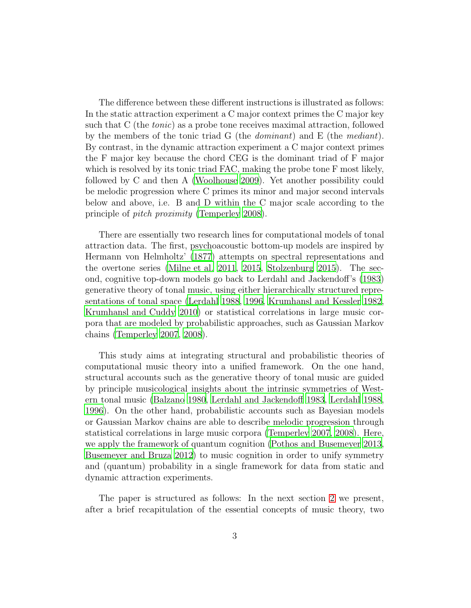The difference between these different instructions is illustrated as follows: In the static attraction experiment a C major context primes the C major key such that C (the *tonic*) as a probe tone receives maximal attraction, followed by the members of the tonic triad G (the *dominant*) and E (the *mediant*). By contrast, in the dynamic attraction experiment a C major context primes the F major key because the chord CEG is the dominant triad of F major which is resolved by its tonic triad FAC, making the probe tone F most likely, followed by C and then A [\(Woolhouse 2009\)](#page-37-1). Yet another possibility could be melodic progression where C primes its minor and major second intervals below and above, i.e. B and D within the C major scale according to the principle of *pitch proximity* [\(Temperley 2008\)](#page-37-0).

There are essentially two research lines for computational models of tonal attraction data. The first, psychoacoustic bottom-up models are inspired by Hermann von Helmholtz' [\(1877](#page-37-2)) attempts on spectral representations and the overtone series [\(Milne et al. 2011,](#page-36-1) [2015,](#page-36-2) [Stolzenburg 2015\)](#page-37-3). The second, cognitive top-down models go back to Lerdahl and Jackendoff's [\(1983\)](#page-35-2) generative theory of tonal music, using either hierarchically structured representations of tonal space [\(Lerdahl 1988,](#page-35-3) [1996,](#page-35-4) [Krumhansl and](#page-35-1) Kessler [1982](#page-35-1), [Krumhansl and Cuddy 2010\)](#page-35-5) or statistical correlations in large music corpora that are modeled by probabilistic approaches, such as Gaussian Markov chains [\(Temperley 2007,](#page-37-4) [2008\)](#page-37-0).

This study aims at integrating structural and probabilistic theories of computational music theory into a unified framework. On the one hand, structural accounts such as the generative theory of tonal music are guided by principle musicological insights about the intrinsic symmetries of Western tonal music [\(Balzano 1980,](#page-33-0) [Lerdahl and Jackendoff 1983,](#page-35-2) [Lerdahl 1988](#page-35-3), [1996](#page-35-4)). On the other hand, probabilistic accounts such as Bayesian models or Gaussian Markov chains are able to describe melodic progression through statistical correlations in large music corpora [\(Temperley 2007](#page-37-4), [2008\)](#page-37-0). Here, we apply the framework of quantum cognition [\(Pothos and Busemeyer 2013](#page-36-3), [Busemeyer and Bruza 2012\)](#page-34-1) to music cognition in order to unify symmetry and (quantum) probability in a single framework for data from static and dynamic attraction experiments.

The paper is structured as follows: In the next section [2](#page-3-1) we present, after a brief recapitulation of the essential concepts of music theory, two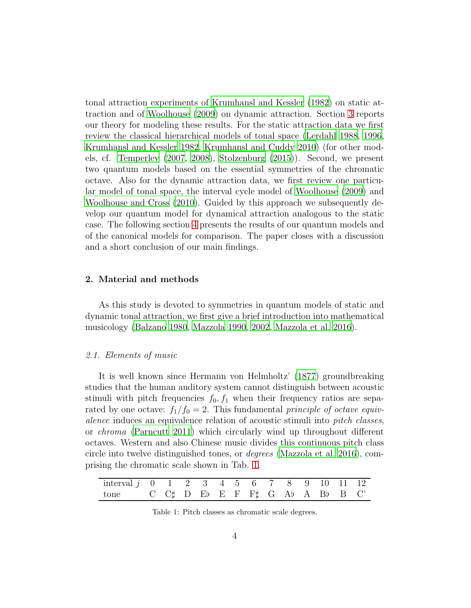tonal attraction experiments of [Krumhansl and Kessler \(1982\)](#page-35-1) on static attraction and of [Woolhouse \(2009](#page-37-1)) on dynamic attraction. Section [3](#page-8-0) reports our theory for modeling these results. For the static attraction data we first review the classical hierarchical models of tonal space [\(Lerdahl 1988](#page-35-3), [1996](#page-35-4), [Krumhansl and Kessler 1982](#page-35-1), [Krumhansl and Cuddy 2010\)](#page-35-5) (for other models, cf. [Temperley \(2007](#page-37-4), [2008](#page-37-0)), [Stolzenburg \(2015](#page-37-3))). Second, we present two quantum models based on the essential symmetries of the chromatic octave. Also for the dynamic attraction data, we first review one particular model of tonal space, the interval cycle model of [Woolhouse \(2009\)](#page-37-1) and [Woolhouse and Cross \(2010\)](#page-37-5). Guided by this approach we subsequently develop our quantum model for dynamical attraction analogous to the static case. The following section [4](#page-22-0) presents the results of our quantum models and of the canonical models for comparison. The paper closes with a discussion and a short conclusion of our main findings.

# <span id="page-3-1"></span>2. Material and methods

As this study is devoted to symmetries in quantum models of static and dynamic tonal attraction, we first give a brief introduction into mathematical musicology [\(Balzano 1980](#page-33-0), [Mazzola 1990,](#page-36-4) [2002,](#page-36-5) [Mazzola et al. 2016\)](#page-36-6).

# <span id="page-3-0"></span>*2.1. Elements of music*

It is well known since Hermann von Helmholtz' [\(1877\)](#page-37-2) groundbreaking studies that the human auditory system cannot distinguish between acoustic stimuli with pitch frequencies  $f_0, f_1$  when their frequency ratios are separated by one octave:  $f_1/f_0 = 2$ . This fundamental *principle of octave equivalence* induces an equivalence relation of acoustic stimuli into *pitch classes*, or *chroma* [\(Parncutt 2011\)](#page-36-0) which circularly wind up throughout different octaves. Western and also Chinese music divides this continuous pitch class circle into twelve distinguished tones, or *degrees* [\(Mazzola et al. 2016](#page-36-6)), comprising the chromatic scale shown in Tab. [1.](#page-3-2)

| interval $j$ 0 1 2 3 4 5 6 7 8 9 10 11 12                                                                    |  |  |  |  |  |  |  |
|--------------------------------------------------------------------------------------------------------------|--|--|--|--|--|--|--|
| tone $C \cup C \not\vdash D \cup E \models F \vdash F \not\vdash G \land A \vdash A \cup B \vdash B \cup C'$ |  |  |  |  |  |  |  |

<span id="page-3-2"></span>Table 1: Pitch classes as chromatic scale degrees.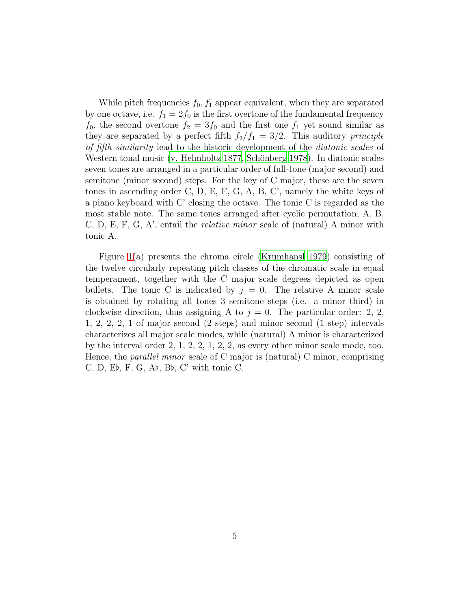While pitch frequencies  $f_0, f_1$  appear equivalent, when they are separated by one octave, i.e.  $f_1 = 2f_0$  is the first overtone of the fundamental frequency  $f_0$ , the second overtone  $f_2 = 3f_0$  and the first one  $f_1$  yet sound similar as they are separated by a perfect fifth  $f_2/f_1 = 3/2$ . This auditory *principle of fifth similarity* lead to the historic development of the *diatonic scales* of Western tonal music [\(v. Helmholtz 1877](#page-37-2), Schönberg 1978). In diatonic scales seven tones are arranged in a particular order of full-tone (major second) and semitone (minor second) steps. For the key of C major, these are the seven tones in ascending order C, D, E, F, G, A, B, C', namely the white keys of a piano keyboard with C' closing the octave. The tonic C is regarded as the most stable note. The same tones arranged after cyclic permutation, A, B, C, D, E, F, G, A', entail the *relative minor* scale of (natural) A minor with tonic A.

Figure [1\(](#page-5-0)a) presents the chroma circle [\(Krumhansl 1979\)](#page-34-0) consisting of the twelve circularly repeating pitch classes of the chromatic scale in equal temperament, together with the C major scale degrees depicted as open bullets. The tonic C is indicated by  $j = 0$ . The relative A minor scale is obtained by rotating all tones 3 semitone steps (i.e. a minor third) in clockwise direction, thus assigning A to  $j = 0$ . The particular order: 2, 2, 1, 2, 2, 2, 1 of major second (2 steps) and minor second (1 step) intervals characterizes all major scale modes, while (natural) A minor is characterized by the interval order 2, 1, 2, 2, 1, 2, 2, as every other minor scale mode, too. Hence, the *parallel minor* scale of C major is (natural) C minor, comprising C, D, E♭, F, G, A♭, B♭, C' with tonic C.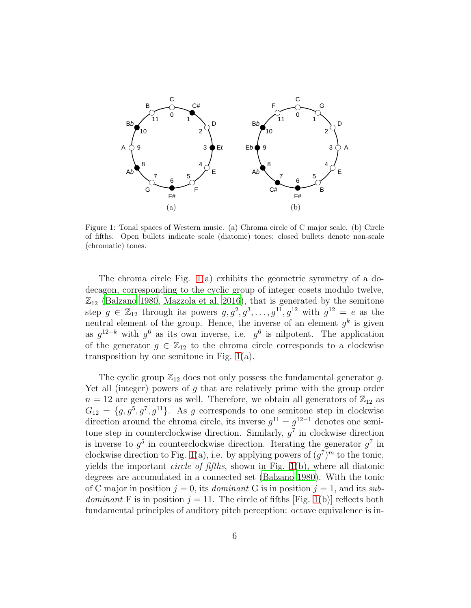

<span id="page-5-0"></span>Figure 1: Tonal spaces of Western music. (a) Chroma circle of C major scale. (b) Circle of fifths. Open bullets indicate scale (diatonic) tones; closed bullets denote non-scale (chromatic) tones.

The chroma circle Fig. [1\(](#page-5-0)a) exhibits the geometric symmetry of a dodecagon, corresponding to the cyclic group of integer cosets modulo twelve,  $\mathbb{Z}_{12}$  [\(Balzano 1980](#page-33-0), [Mazzola et al. 2016\)](#page-36-6), that is generated by the semitone step  $g \in \mathbb{Z}_{12}$  through its powers  $g, g^2, g^3, \ldots, g^{11}, g^{12}$  with  $g^{12} = e$  as the neutral element of the group. Hence, the inverse of an element  $g^k$  is given as  $g^{12-k}$  with  $g^6$  as its own inverse, i.e.  $g^6$  is nilpotent. The application of the generator  $g \in \mathbb{Z}_{12}$  to the chroma circle corresponds to a clockwise transposition by one semitone in Fig. [1\(](#page-5-0)a).

The cyclic group  $\mathbb{Z}_{12}$  does not only possess the fundamental generator g. Yet all (integer) powers of  $g$  that are relatively prime with the group order  $n = 12$  are generators as well. Therefore, we obtain all generators of  $\mathbb{Z}_{12}$  as  $G_{12} = \{g, g^5, g^7, g^{11}\}.$  As g corresponds to one semitone step in clockwise direction around the chroma circle, its inverse  $g^{11} = g^{12-1}$  denotes one semitone step in counterclockwise direction. Similarly,  $g^7$  in clockwise direction is inverse to  $g^5$  in counterclockwise direction. Iterating the generator  $g^7$  in clockwise direction to Fig. [1\(](#page-5-0)a), i.e. by applying powers of  $(g<sup>7</sup>)<sup>m</sup>$  to the tonic, yields the important *circle of fifths*, shown in Fig. [1\(](#page-5-0)b), where all diatonic degrees are accumulated in a connected set [\(Balzano 1980\)](#page-33-0). With the tonic of C major in position  $j = 0$ , its *dominant* G is in position  $j = 1$ , and its *subdominant* F is in position  $j = 11$ . The circle of fifths [Fig. [1\(](#page-5-0)b)] reflects both fundamental principles of auditory pitch perception: octave equivalence is in-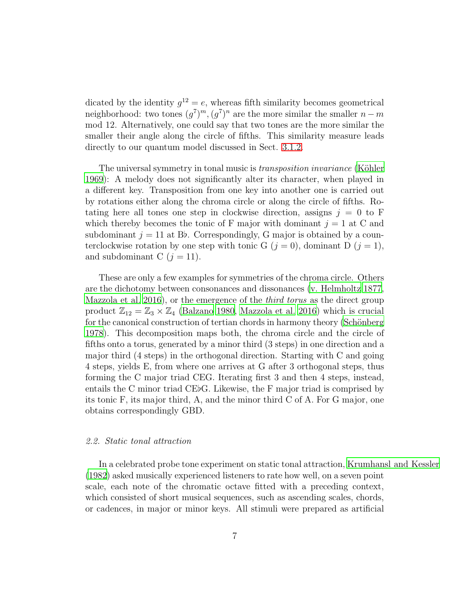dicated by the identity  $g^{12} = e$ , whereas fifth similarity becomes geometrical neighborhood: two tones  $(g^7)^m$ ,  $(g^7)^n$  are the more similar the smaller  $n-m$ mod 12. Alternatively, one could say that two tones are the more similar the smaller their angle along the circle of fifths. This similarity measure leads directly to our quantum model discussed in Sect. [3.1.2.](#page-10-0)

The universal symmetry in tonal music is *transposition invariance* (Köhler [1969](#page-34-2)): A melody does not significantly alter its character, when played in a different key. Transposition from one key into another one is carried out by rotations either along the chroma circle or along the circle of fifths. Rotating here all tones one step in clockwise direction, assigns  $j = 0$  to F which thereby becomes the tonic of F major with dominant  $j = 1$  at C and subdominant  $j = 11$  at Bb. Correspondingly, G major is obtained by a counterclockwise rotation by one step with tonic G  $(j = 0)$ , dominant D  $(j = 1)$ , and subdominant C  $(j = 11)$ .

These are only a few examples for symmetries of the chroma circle. Others are the dichotomy between consonances and dissonances [\(v. Helmholtz 1877](#page-37-2), [Mazzola et al. 2016\)](#page-36-6), or the emergence of the *third torus* as the direct group product  $\mathbb{Z}_{12} = \mathbb{Z}_3 \times \mathbb{Z}_4$  [\(Balzano 1980,](#page-33-0) [Mazzola et al. 2016\)](#page-36-6) which is crucial for the canonical construction of tertian chords in harmony theory (Schönberg) [1978](#page-37-6)). This decomposition maps both, the chroma circle and the circle of fifths onto a torus, generated by a minor third (3 steps) in one direction and a major third (4 steps) in the orthogonal direction. Starting with C and going 4 steps, yields E, from where one arrives at G after 3 orthogonal steps, thus forming the C major triad CEG. Iterating first 3 and then 4 steps, instead, entails the C minor triad CE♭G. Likewise, the F major triad is comprised by its tonic F, its major third, A, and the minor third C of A. For G major, one obtains correspondingly GBD.

#### *2.2. Static tonal attraction*

In a celebrated probe tone experiment on static tonal attraction, [Krumhansl and Kessler](#page-35-1) [\(1982\)](#page-35-1) asked musically experienced listeners to rate how well, on a seven point scale, each note of the chromatic octave fitted with a preceding context, which consisted of short musical sequences, such as ascending scales, chords, or cadences, in major or minor keys. All stimuli were prepared as artificial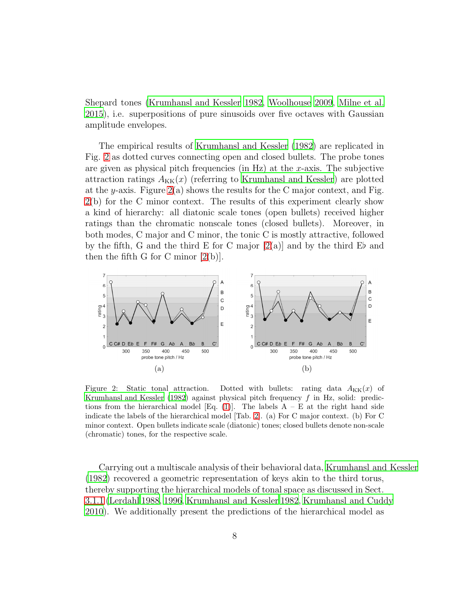Shepard tones [\(Krumhansl and Kessler 1982](#page-35-1), [Woolhouse 2009,](#page-37-1) [Milne et al.](#page-36-2) [2015](#page-36-2)), i.e. superpositions of pure sinusoids over five octaves with Gaussian amplitude envelopes.

The empirical results of [Krumhansl and Kessler \(1982\)](#page-35-1) are replicated in Fig. [2](#page-7-0) as dotted curves connecting open and closed bullets. The probe tones are given as physical pitch frequencies (in Hz) at the x-axis. The subjective attraction ratings  $A_{KK}(x)$  (referring to [Krumhansl and Kessler](#page-35-1)) are plotted at the y-axis. Figure  $2(a)$  shows the results for the C major context, and Fig. [2\(](#page-7-0)b) for the C minor context. The results of this experiment clearly show a kind of hierarchy: all diatonic scale tones (open bullets) received higher ratings than the chromatic nonscale tones (closed bullets). Moreover, in both modes, C major and C minor, the tonic C is mostly attractive, followed by the fifth, G and the third E for C major  $[2(a)]$  and by the third Eb and then the fifth G for C minor  $[2(b)]$ .



<span id="page-7-0"></span>Figure 2: Static tonal attraction. Dotted with bullets: rating data  $A_{KK}(x)$  of [Krumhansl and Kessler \(1982](#page-35-1)) against physical pitch frequency  $f$  in Hz, solid: predic-tions from the hierarchical model [Eq. [\(1\)](#page-9-0)]. The labels  $A - E$  at the right hand side indicate the labels of the hierarchical model [Tab. [2\]](#page-9-1). (a) For C major context. (b) For C minor context. Open bullets indicate scale (diatonic) tones; closed bullets denote non-scale (chromatic) tones, for the respective scale.

Carrying out a multiscale analysis of their behavioral data, [Krumhansl and Kessler](#page-35-1) [\(1982\)](#page-35-1) recovered a geometric representation of keys akin to the third torus, thereby supporting the hierarchical models of tonal space as discussed in Sect. [3.1.1](#page-9-2) [\(Lerdahl 1988](#page-35-3), [1996,](#page-35-4) [Krumhansl and Kessler 1982](#page-35-1), [Krumhansl and Cuddy](#page-35-5) [2010](#page-35-5)). We additionally present the predictions of the hierarchical model as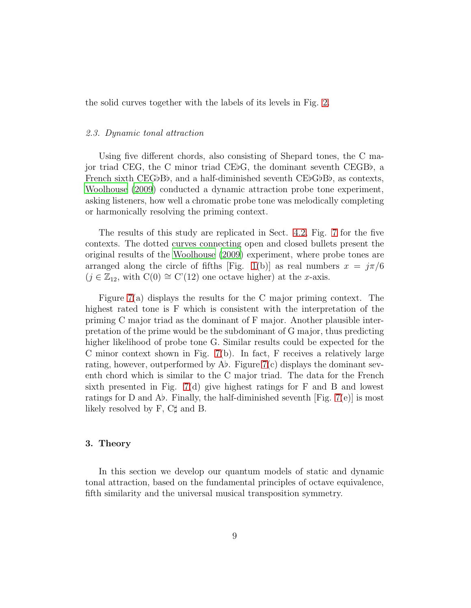the solid curves together with the labels of its levels in Fig. [2.](#page-7-0)

#### *2.3. Dynamic tonal attraction*

Using five different chords, also consisting of Shepard tones, the C major triad CEG, the C minor triad CE♭G, the dominant seventh CEGB♭, a French sixth CEG♭B♭, and a half-diminished seventh CE♭G♭B♭, as contexts, [Woolhouse \(2009\)](#page-37-1) conducted a dynamic attraction probe tone experiment, asking listeners, how well a chromatic probe tone was melodically completing or harmonically resolving the priming context.

The results of this study are replicated in Sect. [4.2,](#page-26-0) Fig. [7](#page-28-0) for the five contexts. The dotted curves connecting open and closed bullets present the original results of the [Woolhouse \(2009](#page-37-1)) experiment, where probe tones are arranged along the circle of fifths [Fig. [1\(](#page-5-0)b)] as real numbers  $x = j\pi/6$  $(j \in \mathbb{Z}_{12}$ , with  $C(0) \cong C'(12)$  one octave higher) at the x-axis.

Figure [7\(](#page-28-0)a) displays the results for the C major priming context. The highest rated tone is F which is consistent with the interpretation of the priming C major triad as the dominant of F major. Another plausible interpretation of the prime would be the subdominant of G major, thus predicting higher likelihood of probe tone G. Similar results could be expected for the C minor context shown in Fig.  $7(b)$ . In fact, F receives a relatively large rating, however, outperformed by  $\Lambda b$ . Figure [7\(](#page-28-0)c) displays the dominant seventh chord which is similar to the C major triad. The data for the French sixth presented in Fig. [7\(](#page-28-0)d) give highest ratings for F and B and lowest ratings for D and A♭. Finally, the half-diminished seventh [Fig. [7\(](#page-28-0)e)] is most likely resolved by F, C♯ and B.

# <span id="page-8-0"></span>3. Theory

In this section we develop our quantum models of static and dynamic tonal attraction, based on the fundamental principles of octave equivalence, fifth similarity and the universal musical transposition symmetry.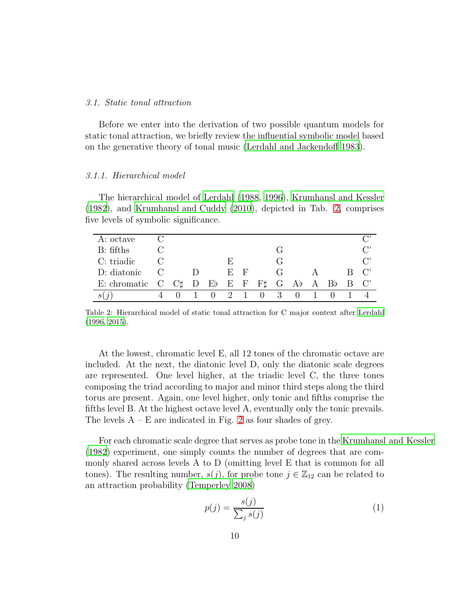# *3.1. Static tonal attraction*

Before we enter into the derivation of two possible quantum models for static tonal attraction, we briefly review the influential symbolic model based on the generative theory of tonal music [\(Lerdahl and Jackendoff](#page-35-2) [1983](#page-35-2)).

# <span id="page-9-2"></span>*3.1.1. Hierarchical model*

The hierarchical model of [Lerdahl \(1988,](#page-35-3) [1996\)](#page-35-4), [Krumhansl and](#page-35-1) Kessler [\(1982\)](#page-35-1), and [Krumhansl and Cuddy \(2010\)](#page-35-5), depicted in Tab. [2,](#page-9-1) comprises five levels of symbolic significance.

| A: octave                     |  |  |    |   |        |                                       |        |                             |
|-------------------------------|--|--|----|---|--------|---------------------------------------|--------|-----------------------------|
| B: fifths                     |  |  |    |   |        |                                       |        | $\mathbb{C}^2$              |
| C: triadic                    |  |  | H) |   |        |                                       |        | $\mathbb{C}^n$              |
| D: diatonic                   |  |  | Е. | F |        |                                       |        | $C^{\prime}$                |
| E: chromatic $C \mathbb{C}$ D |  |  |    |   |        | $E\flat$ E F F $\sharp$ G A $\flat$ A | $Bb$ B | $\hspace{0.1em}^{\circ}$ C' |
|                               |  |  | 9  |   | $\cup$ |                                       |        |                             |

<span id="page-9-1"></span>Table 2: Hierarchical model of static tonal attraction for C major context after [Lerdahl](#page-35-4) [\(1996,](#page-35-4) [2015\)](#page-35-6).

At the lowest, chromatic level E, all 12 tones of the chromatic octave are included. At the next, the diatonic level D, only the diatonic scale degrees are represented. One level higher, at the triadic level C, the three tones composing the triad according to major and minor third steps along the third torus are present. Again, one level higher, only tonic and fifths comprise the fifths level B. At the highest octave level A, eventually only the tonic prevails. The levels  $A - E$  are indicated in Fig. [2](#page-7-0) as four shades of grey.

For each chromatic scale degree that serves as probe tone in the [Krumhansl and Kessler](#page-35-1) [\(1982\)](#page-35-1) experiment, one simply counts the number of degrees that are commonly shared across levels A to D (omitting level E that is common for all tones). The resulting number,  $s(j)$ , for probe tone  $j \in \mathbb{Z}_{12}$  can be related to an attraction probability [\(Temperley 2008](#page-37-0))

<span id="page-9-0"></span>
$$
p(j) = \frac{s(j)}{\sum_{j} s(j)}\tag{1}
$$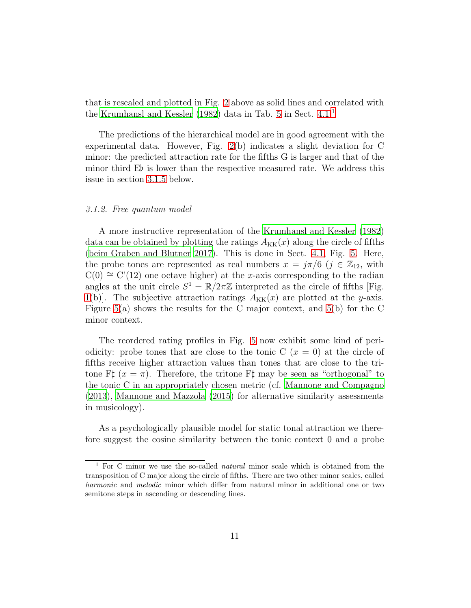that is rescaled and plotted in Fig. [2](#page-7-0) above as solid lines and correlated with the [Krumhansl and Kessler \(1982\)](#page-35-1) data in Tab. [5](#page-25-0) in Sect. [4.1.](#page-23-0)<sup>[1](#page-10-1)</sup>

The predictions of the hierarchical model are in good agreement with the experimental data. However, Fig. [2\(](#page-7-0)b) indicates a slight deviation for C minor: the predicted attraction rate for the fifths G is larger and that of the minor third E♭ is lower than the respective measured rate. We address this issue in section [3.1.5](#page-17-0) below.

#### <span id="page-10-0"></span>*3.1.2. Free quantum model*

A more instructive representation of the [Krumhansl and Kessler \(1982\)](#page-35-1) data can be obtained by plotting the ratings  $A_{KK}(x)$  along the circle of fifths [\(beim Graben and Blutner 2017](#page-33-1)). This is done in Sect. [4.1,](#page-23-0) Fig. [5.](#page-23-1) Here, the probe tones are represented as real numbers  $x = j\pi/6$   $(j \in \mathbb{Z}_{12}$ , with  $C(0) \cong C'(12)$  one octave higher) at the x-axis corresponding to the radian angles at the unit circle  $S^1 = \mathbb{R}/2\pi\mathbb{Z}$  interpreted as the circle of fifths [Fig. [1\(](#page-5-0)b). The subjective attraction ratings  $A_{KK}(x)$  are plotted at the y-axis. Figure [5\(](#page-23-1)a) shows the results for the C major context, and [5\(](#page-23-1)b) for the C minor context.

The reordered rating profiles in Fig. [5](#page-23-1) now exhibit some kind of periodicity: probe tones that are close to the tonic C  $(x = 0)$  at the circle of fifths receive higher attraction values than tones that are close to the tritone F‡  $(x = \pi)$ . Therefore, the tritone F‡ may be seen as "orthogonal" to the tonic C in an appropriately chosen metric (cf. [Mannone and Compagno](#page-35-7) [\(2013\)](#page-35-7), [Mannone and Mazzola \(2015\)](#page-35-8) for alternative similarity assessments in musicology).

As a psychologically plausible model for static tonal attraction we therefore suggest the cosine similarity between the tonic context 0 and a probe

<span id="page-10-1"></span><sup>&</sup>lt;sup>1</sup> For C minor we use the so-called *natural* minor scale which is obtained from the transposition of C major along the circle of fifths. There are two other minor scales, called harmonic and melodic minor which differ from natural minor in additional one or two semitone steps in ascending or descending lines.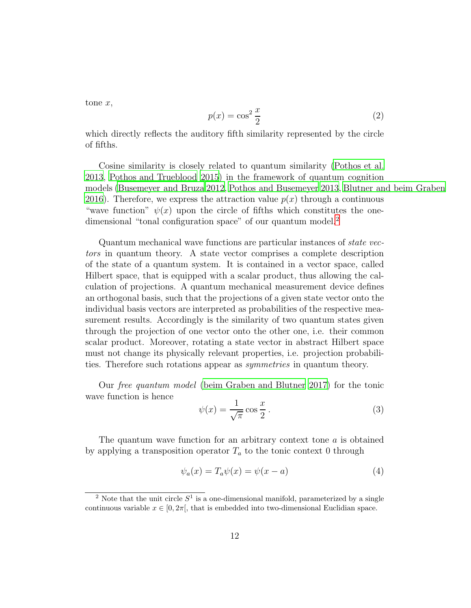$t$ one  $x$ ,

$$
p(x) = \cos^2 \frac{x}{2}
$$
 (2)

which directly reflects the auditory fifth similarity represented by the circle of fifths.

Cosine similarity is closely related to quantum similarity [\(Pothos et al.](#page-36-7) [2013](#page-36-7), [Pothos and Trueblood 2015\)](#page-36-8) in the framework of quantum cognition models [\(Busemeyer and Bruza 2012,](#page-34-1) [Pothos and Busemeyer 2013,](#page-36-3) [Blutner and beim Graben](#page-34-3) [2016](#page-34-3)). Therefore, we express the attraction value  $p(x)$  through a continuous "wave function"  $\psi(x)$  upon the circle of fifths which constitutes the one-dimensional "tonal configuration space" of our quantum model.<sup>[2](#page-11-0)</sup>

Quantum mechanical wave functions are particular instances of *state vectors* in quantum theory. A state vector comprises a complete description of the state of a quantum system. It is contained in a vector space, called Hilbert space, that is equipped with a scalar product, thus allowing the calculation of projections. A quantum mechanical measurement device defines an orthogonal basis, such that the projections of a given state vector onto the individual basis vectors are interpreted as probabilities of the respective measurement results. Accordingly is the similarity of two quantum states given through the projection of one vector onto the other one, i.e. their common scalar product. Moreover, rotating a state vector in abstract Hilbert space must not change its physically relevant properties, i.e. projection probabilities. Therefore such rotations appear as *symmetries* in quantum theory.

Our *free quantum model* [\(beim Graben and Blutner 2017](#page-33-1)) for the tonic wave function is hence

<span id="page-11-1"></span>
$$
\psi(x) = \frac{1}{\sqrt{\pi}} \cos \frac{x}{2} . \tag{3}
$$

The quantum wave function for an arbitrary context tone  $a$  is obtained by applying a transposition operator  $T_a$  to the tonic context 0 through

$$
\psi_a(x) = T_a \psi(x) = \psi(x - a)
$$
\n(4)

<span id="page-11-0"></span><sup>&</sup>lt;sup>2</sup> Note that the unit circle  $S^1$  is a one-dimensional manifold, parameterized by a single continuous variable  $x \in [0, 2\pi]$ , that is embedded into two-dimensional Euclidian space.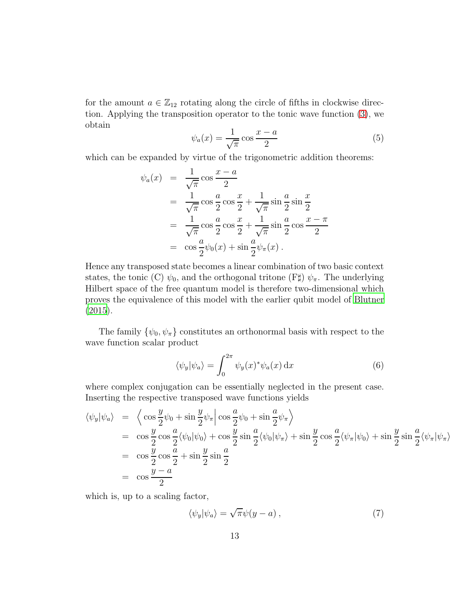for the amount  $a \in \mathbb{Z}_{12}$  rotating along the circle of fifths in clockwise direction. Applying the transposition operator to the tonic wave function [\(3\)](#page-11-1), we obtain

$$
\psi_a(x) = \frac{1}{\sqrt{\pi}} \cos \frac{x - a}{2} \tag{5}
$$

which can be expanded by virtue of the trigonometric addition theorems:

$$
\psi_a(x) = \frac{1}{\sqrt{\pi}} \cos \frac{x-a}{2}
$$
  
\n
$$
= \frac{1}{\sqrt{\pi}} \cos \frac{a}{2} \cos \frac{x}{2} + \frac{1}{\sqrt{\pi}} \sin \frac{a}{2} \sin \frac{x}{2}
$$
  
\n
$$
= \frac{1}{\sqrt{\pi}} \cos \frac{a}{2} \cos \frac{x}{2} + \frac{1}{\sqrt{\pi}} \sin \frac{a}{2} \cos \frac{x-\pi}{2}
$$
  
\n
$$
= \cos \frac{a}{2} \psi_0(x) + \sin \frac{a}{2} \psi_\pi(x).
$$

Hence any transposed state becomes a linear combination of two basic context states, the tonic (C)  $\psi_0$ , and the orthogonal tritone (F $\sharp$ )  $\psi_{\pi}$ . The underlying Hilbert space of the free quantum model is therefore two-dimensional which proves the equivalence of this model with the earlier qubit model of [Blutner](#page-34-4) [\(2015\)](#page-34-4).

The family  $\{\psi_0, \psi_\pi\}$  constitutes an orthonormal basis with respect to the wave function scalar product

$$
\langle \psi_y | \psi_a \rangle = \int_0^{2\pi} \psi_y(x)^* \psi_a(x) \, \mathrm{d}x \tag{6}
$$

where complex conjugation can be essentially neglected in the present case. Inserting the respective transposed wave functions yields

$$
\langle \psi_y | \psi_a \rangle = \left\langle \cos \frac{y}{2} \psi_0 + \sin \frac{y}{2} \psi_\pi \right| \cos \frac{a}{2} \psi_0 + \sin \frac{a}{2} \psi_\pi \rangle
$$
  
\n
$$
= \cos \frac{y}{2} \cos \frac{a}{2} \langle \psi_0 | \psi_0 \rangle + \cos \frac{y}{2} \sin \frac{a}{2} \langle \psi_0 | \psi_\pi \rangle + \sin \frac{y}{2} \cos \frac{a}{2} \langle \psi_\pi | \psi_0 \rangle + \sin \frac{y}{2} \sin \frac{a}{2} \langle \psi_\pi | \psi_\pi \rangle
$$
  
\n
$$
= \cos \frac{y}{2} \cos \frac{a}{2} + \sin \frac{y}{2} \sin \frac{a}{2}
$$
  
\n
$$
= \cos \frac{y - a}{2}
$$

which is, up to a scaling factor,

<span id="page-12-0"></span>
$$
\langle \psi_y | \psi_a \rangle = \sqrt{\pi} \psi(y - a) \,, \tag{7}
$$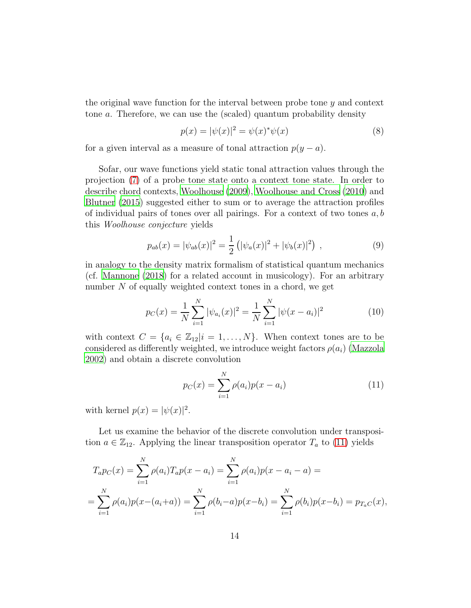the original wave function for the interval between probe tone y and context tone a. Therefore, we can use the (scaled) quantum probability density

<span id="page-13-1"></span>
$$
p(x) = |\psi(x)|^2 = \psi(x)^* \psi(x)
$$
 (8)

for a given interval as a measure of tonal attraction  $p(y - a)$ .

Sofar, our wave functions yield static tonal attraction values through the projection [\(7\)](#page-12-0) of a probe tone state onto a context tone state. In order to describe chord contexts, [Woolhouse \(2009](#page-37-1)), [Woolhouse and Cross \(2010\)](#page-37-5) and [Blutner \(2015\)](#page-34-4) suggested either to sum or to average the attraction profiles of individual pairs of tones over all pairings. For a context of two tones  $a, b$ this *Woolhouse conjecture* yields

$$
p_{ab}(x) = |\psi_{ab}(x)|^2 = \frac{1}{2} (|\psi_a(x)|^2 + |\psi_b(x)|^2) , \qquad (9)
$$

in analogy to the density matrix formalism of statistical quantum mechanics (cf. [Mannone \(2018\)](#page-35-9) for a related account in musicology). For an arbitrary number N of equally weighted context tones in a chord, we get

$$
p_C(x) = \frac{1}{N} \sum_{i=1}^{N} |\psi_{a_i}(x)|^2 = \frac{1}{N} \sum_{i=1}^{N} |\psi(x - a_i)|^2
$$
 (10)

with context  $C = \{a_i \in \mathbb{Z}_{12} | i = 1, ..., N\}$ . When context tones are to be considered as differently weighted, we introduce weight factors  $\rho(a_i)$  [\(Mazzola](#page-36-5) [2002](#page-36-5)) and obtain a discrete convolution

<span id="page-13-0"></span>
$$
p_C(x) = \sum_{i=1}^{N} \rho(a_i) p(x - a_i)
$$
 (11)

with kernel  $p(x) = |\psi(x)|^2$ .

Let us examine the behavior of the discrete convolution under transposition  $a \in \mathbb{Z}_{12}$ . Applying the linear transposition operator  $T_a$  to [\(11\)](#page-13-0) yields

$$
T_a p_C(x) = \sum_{i=1}^N \rho(a_i) T_a p(x - a_i) = \sum_{i=1}^N \rho(a_i) p(x - a_i - a) =
$$
  
= 
$$
\sum_{i=1}^N \rho(a_i) p(x - (a_i + a)) = \sum_{i=1}^N \rho(b_i - a) p(x - b_i) = \sum_{i=1}^N \rho(b_i) p(x - b_i) = p_{T_a} c(x),
$$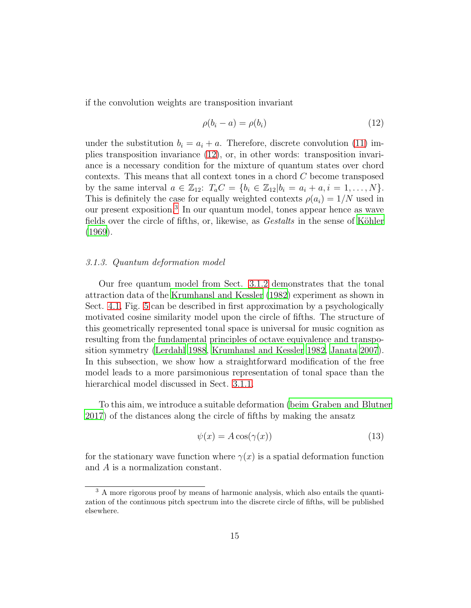if the convolution weights are transposition invariant

<span id="page-14-0"></span>
$$
\rho(b_i - a) = \rho(b_i) \tag{12}
$$

under the substitution  $b_i = a_i + a$ . Therefore, discrete convolution [\(11\)](#page-13-0) implies transposition invariance [\(12\)](#page-14-0), or, in other words: transposition invariance is a necessary condition for the mixture of quantum states over chord contexts. This means that all context tones in a chord  $C$  become transposed by the same interval  $a \in \mathbb{Z}_{12}$ :  $T_a C = \{b_i \in \mathbb{Z}_{12} | b_i = a_i + a, i = 1, ..., N\}$ . This is definitely the case for equally weighted contexts  $\rho(a_i) = 1/N$  used in our present exposition.[3](#page-14-1) In our quantum model, tones appear hence as wave fields over the circle of fifths, or, likewise, as *Gestalts* in the sense of Köhler [\(1969\)](#page-34-2).

# <span id="page-14-3"></span>*3.1.3. Quantum deformation model*

Our free quantum model from Sect. [3.1.2](#page-10-0) demonstrates that the tonal attraction data of the [Krumhansl and Kessler \(1982\)](#page-35-1) experiment as shown in Sect. [4.1,](#page-23-0) Fig. [5](#page-23-1) can be described in first approximation by a psychologically motivated cosine similarity model upon the circle of fifths. The structure of this geometrically represented tonal space is universal for music cognition as resulting from the fundamental principles of octave equivalence and transposition symmetry [\(Lerdahl 1988](#page-35-3), [Krumhansl and Kessler 1982,](#page-35-1) [Janata 2007\)](#page-34-5). In this subsection, we show how a straightforward modification of the free model leads to a more parsimonious representation of tonal space than the hierarchical model discussed in Sect. [3.1.1.](#page-9-2)

To this aim, we introduce a suitable deformation [\(beim Graben and Blutner](#page-33-1) [2017](#page-33-1)) of the distances along the circle of fifths by making the ansatz

<span id="page-14-2"></span>
$$
\psi(x) = A\cos(\gamma(x))\tag{13}
$$

for the stationary wave function where  $\gamma(x)$  is a spatial deformation function and A is a normalization constant.

<span id="page-14-1"></span><sup>&</sup>lt;sup>3</sup> A more rigorous proof by means of harmonic analysis, which also entails the quantization of the continuous pitch spectrum into the discrete circle of fifths, will be published elsewhere.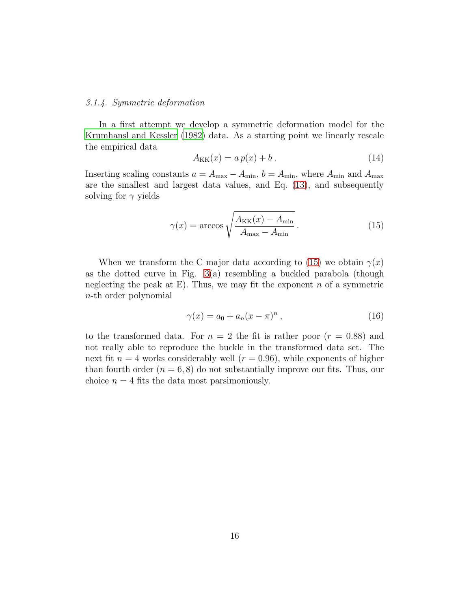#### <span id="page-15-1"></span>*3.1.4. Symmetric deformation*

In a first attempt we develop a symmetric deformation model for the [Krumhansl and Kessler \(1982\)](#page-35-1) data. As a starting point we linearly rescale the empirical data

$$
A_{\text{KK}}(x) = a p(x) + b. \tag{14}
$$

Inserting scaling constants  $a = A_{\text{max}} - A_{\text{min}}$ ,  $b = A_{\text{min}}$ , where  $A_{\text{min}}$  and  $A_{\text{max}}$ are the smallest and largest data values, and Eq. [\(13\)](#page-14-2), and subsequently solving for  $\gamma$  yields

<span id="page-15-0"></span>
$$
\gamma(x) = \arccos\sqrt{\frac{A_{\text{KK}}(x) - A_{\text{min}}}{A_{\text{max}} - A_{\text{min}}}}.
$$
\n(15)

When we transform the C major data according to [\(15\)](#page-15-0) we obtain  $\gamma(x)$ as the dotted curve in Fig.  $3(a)$  resembling a buckled parabola (though neglecting the peak at E). Thus, we may fit the exponent  $n$  of a symmetric n-th order polynomial

$$
\gamma(x) = a_0 + a_n(x - \pi)^n , \qquad (16)
$$

to the transformed data. For  $n = 2$  the fit is rather poor  $(r = 0.88)$  and not really able to reproduce the buckle in the transformed data set. The next fit  $n = 4$  works considerably well  $(r = 0.96)$ , while exponents of higher than fourth order  $(n = 6, 8)$  do not substantially improve our fits. Thus, our choice  $n = 4$  fits the data most parsimoniously.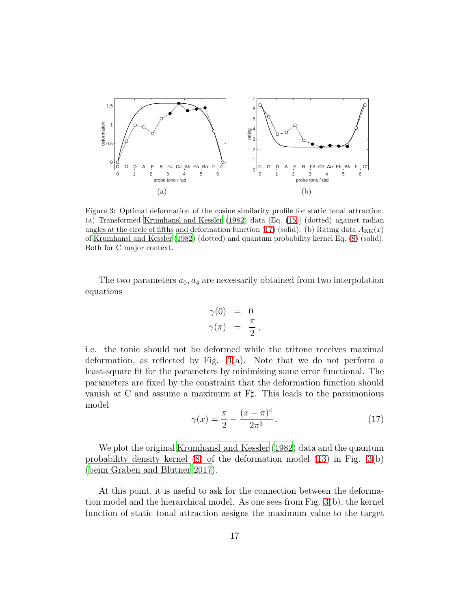

<span id="page-16-0"></span>Figure 3: Optimal deformation of the cosine similarity profile for static tonal attraction. (a) Transformed [Krumhansl and Kessler \(1982\)](#page-35-1) data [Eq. [\(15\)](#page-15-0)] (dotted) against radian angles at the circle of fifths and deformation function [\(17\)](#page-16-1) (solid). (b) Rating data  $A_{\text{KK}}(x)$ of [Krumhansl and Kessler \(1982\)](#page-35-1) (dotted) and quantum probability kernel Eq. [\(8\)](#page-13-1) (solid). Both for C major context.

The two parameters  $a_0$ ,  $a_4$  are necessarily obtained from two interpolation equations

$$
\begin{array}{rcl} \gamma(0) & = & 0 \\ \gamma(\pi) & = & \frac{\pi}{2} \, , \end{array}
$$

i.e. the tonic should not be deformed while the tritone receives maximal deformation, as reflected by Fig. [3\(](#page-16-0)a). Note that we do not perform a least-square fit for the parameters by minimizing some error functional. The parameters are fixed by the constraint that the deformation function should vanish at C and assume a maximum at F♯. This leads to the parsimonious model

<span id="page-16-1"></span>
$$
\gamma(x) = \frac{\pi}{2} - \frac{(x - \pi)^4}{2\pi^3} \,. \tag{17}
$$

We plot the original [Krumhansl and Kessler \(1982\)](#page-35-1) data and the quantum probability density kernel [\(8\)](#page-13-1) of the deformation model [\(13\)](#page-14-2) in Fig. [3\(](#page-16-0)b) [\(beim Graben and Blutner 2017](#page-33-1)).

At this point, it is useful to ask for the connection between the deformation model and the hierarchical model. As one sees from Fig. [3\(](#page-16-0)b), the kernel function of static tonal attraction assigns the maximum value to the target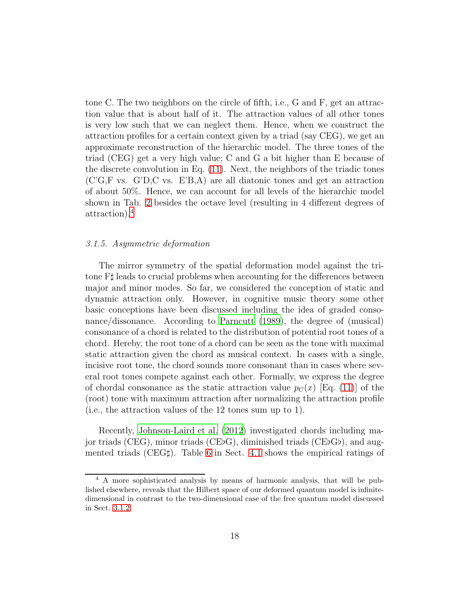tone C. The two neighbors on the circle of fifth, i.e., G and F, get an attraction value that is about half of it. The attraction values of all other tones is very low such that we can neglect them. Hence, when we construct the attraction profiles for a certain context given by a triad (say CEG), we get an approximate reconstruction of the hierarchic model. The three tones of the triad (CEG) get a very high value; C and G a bit higher than E because of the discrete convolution in Eq. [\(11\)](#page-13-0). Next, the neighbors of the triadic tones (C'G,F vs. G'D,C vs. E'B,A) are all diatonic tones and get an attraction of about 50%. Hence, we can account for all levels of the hierarchic model shown in Tab. [2](#page-9-1) besides the octave level (resulting in 4 different degrees of attraction).[4](#page-17-1)

# <span id="page-17-0"></span>*3.1.5. Asymmetric deformation*

The mirror symmetry of the spatial deformation model against the tritone F♯ leads to crucial problems when accounting for the differences between major and minor modes. So far, we considered the conception of static and dynamic attraction only. However, in cognitive music theory some other basic conceptions have been discussed including the idea of graded consonance/dissonance. According to [Parncutt \(1989\)](#page-36-9), the degree of (musical) consonance of a chord is related to the distribution of potential root tones of a chord. Hereby, the root tone of a chord can be seen as the tone with maximal static attraction given the chord as musical context. In cases with a single, incisive root tone, the chord sounds more consonant than in cases where several root tones compete against each other. Formally, we express the degree of chordal consonance as the static attraction value  $p_C(x)$  [Eq. [\(11\)](#page-13-0)] of the (root) tone with maximum attraction after normalizing the attraction profile (i.e., the attraction values of the 12 tones sum up to 1).

Recently, [Johnson-Laird et al. \(2012\)](#page-34-6) investigated chords including major triads (CEG), minor triads (CE♭G), diminished triads (CE♭G♭), and augmented triads (CEG♯). Table [6](#page-26-1) in Sect. [4.1](#page-23-0) shows the empirical ratings of

<span id="page-17-1"></span><sup>4</sup> A more sophisticated analysis by means of harmonic analysis, that will be published elsewhere, reveals that the Hilbert space of our deformed quantum model is infinitedimensional in contrast to the two-dimensional case of the free quantum model discussed in Sect. [3.1.2.](#page-10-0)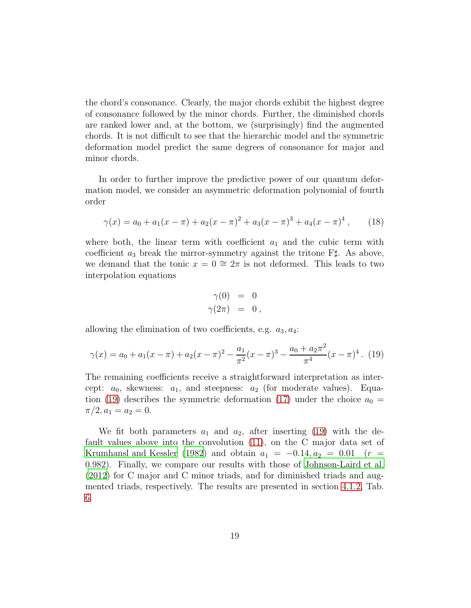the chord's consonance. Clearly, the major chords exhibit the highest degree of consonance followed by the minor chords. Further, the diminished chords are ranked lower and, at the bottom, we (surprisingly) find the augmented chords. It is not difficult to see that the hierarchic model and the symmetric deformation model predict the same degrees of consonance for major and minor chords.

In order to further improve the predictive power of our quantum deformation model, we consider an asymmetric deformation polynomial of fourth order

$$
\gamma(x) = a_0 + a_1(x - \pi) + a_2(x - \pi)^2 + a_3(x - \pi)^3 + a_4(x - \pi)^4 ,\qquad(18)
$$

where both, the linear term with coefficient  $a_1$  and the cubic term with coefficient  $a_3$  break the mirror-symmetry against the tritone  $\mathbb{F}^{\sharp}$ . As above, we demand that the tonic  $x = 0 \approx 2\pi$  is not deformed. This leads to two interpolation equations

$$
\begin{array}{rcl} \gamma(0) & = & 0 \\ \gamma(2\pi) & = & 0 \, , \end{array}
$$

allowing the elimination of two coefficients, e.g.  $a_3, a_4$ :

<span id="page-18-0"></span>
$$
\gamma(x) = a_0 + a_1(x - \pi) + a_2(x - \pi)^2 - \frac{a_1}{\pi^2}(x - \pi)^3 - \frac{a_0 + a_2 \pi^2}{\pi^4}(x - \pi)^4. \tag{19}
$$

The remaining coefficients receive a straightforward interpretation as intercept:  $a_0$ , skewness:  $a_1$ , and steepness:  $a_2$  (for moderate values). Equa-tion [\(19\)](#page-18-0) describes the symmetric deformation [\(17\)](#page-16-1) under the choice  $a_0 =$  $\pi/2, a_1 = a_2 = 0.$ 

We fit both parameters  $a_1$  and  $a_2$ , after inserting [\(19\)](#page-18-0) with the default values above into the convolution [\(11\)](#page-13-0), on the C major data set of [Krumhansl and Kessler \(1982\)](#page-35-1) and obtain  $a_1 = -0.14, a_2 = 0.01$  (r = 0.982). Finally, we compare our results with those of [Johnson-Laird et al.](#page-34-6) [\(2012\)](#page-34-6) for C major and C minor triads, and for diminished triads and augmented triads, respectively. The results are presented in section [4.1.2,](#page-25-1) Tab. [6.](#page-26-1)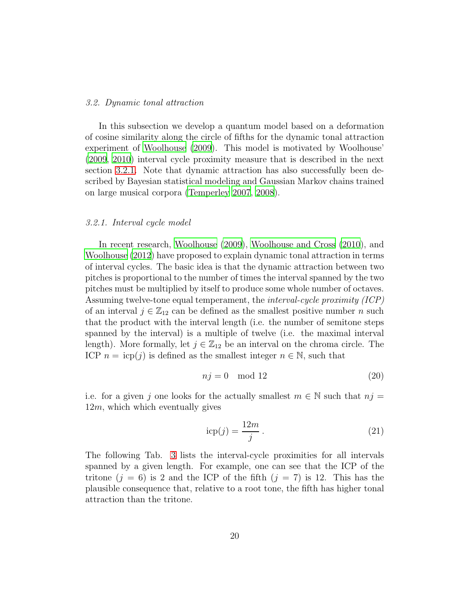#### *3.2. Dynamic tonal attraction*

In this subsection we develop a quantum model based on a deformation of cosine similarity along the circle of fifths for the dynamic tonal attraction experiment of [Woolhouse \(2009](#page-37-1)). This model is motivated by Woolhouse' [\(2009,](#page-37-1) [2010\)](#page-37-5) interval cycle proximity measure that is described in the next section [3.2.1.](#page-19-0) Note that dynamic attraction has also successfully been described by Bayesian statistical modeling and Gaussian Markov chains trained on large musical corpora [\(Temperley 2007,](#page-37-4) [2008\)](#page-37-0).

#### <span id="page-19-0"></span>*3.2.1. Interval cycle model*

In recent research, [Woolhouse \(2009\)](#page-37-1), [Woolhouse and Cross \(2010\)](#page-37-5), and [Woolhouse \(2012\)](#page-37-7) have proposed to explain dynamic tonal attraction in terms of interval cycles. The basic idea is that the dynamic attraction between two pitches is proportional to the number of times the interval spanned by the two pitches must be multiplied by itself to produce some whole number of octaves. Assuming twelve-tone equal temperament, the *interval-cycle proximity (ICP)* of an interval  $j \in \mathbb{Z}_{12}$  can be defined as the smallest positive number n such that the product with the interval length (i.e. the number of semitone steps spanned by the interval) is a multiple of twelve (i.e. the maximal interval length). More formally, let  $j \in \mathbb{Z}_{12}$  be an interval on the chroma circle. The ICP  $n = icp(j)$  is defined as the smallest integer  $n \in \mathbb{N}$ , such that

$$
nj = 0 \mod 12 \tag{20}
$$

i.e. for a given j one looks for the actually smallest  $m \in \mathbb{N}$  such that  $nj =$  $12m$ , which which eventually gives

<span id="page-19-1"></span>
$$
icp(j) = \frac{12m}{j}.
$$
\n(21)

The following Tab. [3](#page-20-0) lists the interval-cycle proximities for all intervals spanned by a given length. For example, one can see that the ICP of the tritone  $(j = 6)$  is 2 and the ICP of the fifth  $(j = 7)$  is 12. This has the plausible consequence that, relative to a root tone, the fifth has higher tonal attraction than the tritone.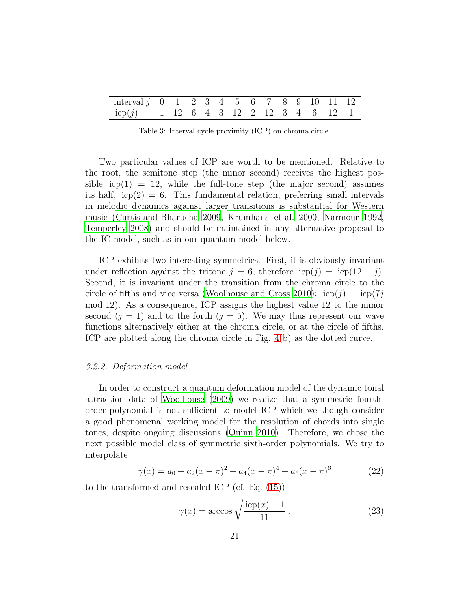| interval $j \t0 \t1 \t2 \t3 \t4 \t5 \t6 \t7 \t8 \t9 \t10 \t11 \t12$ |  |  |  |  |  |  |  |
|---------------------------------------------------------------------|--|--|--|--|--|--|--|
| $icp(j)$ 1 12 6 4 3 12 2 12 3 4 6 12 1                              |  |  |  |  |  |  |  |

<span id="page-20-0"></span>Table 3: Interval cycle proximity (ICP) on chroma circle.

Two particular values of ICP are worth to be mentioned. Relative to the root, the semitone step (the minor second) receives the highest possible  $icp(1) = 12$ , while the full-tone step (the major second) assumes its half,  $icp(2) = 6$ . This fundamental relation, preferring small intervals in melodic dynamics against larger transitions is substantial for Western music [\(Curtis and Bharucha 2009](#page-34-7), [Krumhansl et al. 2000,](#page-35-10) [Narmour](#page-36-10) [1992](#page-36-10), [Temperley 2008\)](#page-37-0) and should be maintained in any alternative proposal to the IC model, such as in our quantum model below.

ICP exhibits two interesting symmetries. First, it is obviously invariant under reflection against the tritone  $j = 6$ , therefore  $icp(j) = icp(12 - j)$ . Second, it is invariant under the transition from the chroma circle to the circle of fifths and vice versa [\(Woolhouse and Cross 2010\)](#page-37-5):  $icp(j) = icp(7j)$ mod 12). As a consequence, ICP assigns the highest value 12 to the minor second  $(j = 1)$  and to the forth  $(j = 5)$ . We may thus represent our wave functions alternatively either at the chroma circle, or at the circle of fifths. ICP are plotted along the chroma circle in Fig. [4\(](#page-21-0)b) as the dotted curve.

# *3.2.2. Deformation model*

In order to construct a quantum deformation model of the dynamic tonal attraction data of [Woolhouse \(2009](#page-37-1)) we realize that a symmetric fourthorder polynomial is not sufficient to model ICP which we though consider a good phenomenal working model for the resolution of chords into single tones, despite ongoing discussions [\(Quinn 2010\)](#page-37-8). Therefore, we chose the next possible model class of symmetric sixth-order polynomials. We try to interpolate

$$
\gamma(x) = a_0 + a_2(x - \pi)^2 + a_4(x - \pi)^4 + a_6(x - \pi)^6 \tag{22}
$$

to the transformed and rescaled ICP (cf. Eq. [\(15\)](#page-15-0))

<span id="page-20-1"></span>
$$
\gamma(x) = \arccos\sqrt{\frac{\text{icp}(x) - 1}{11}}.
$$
\n(23)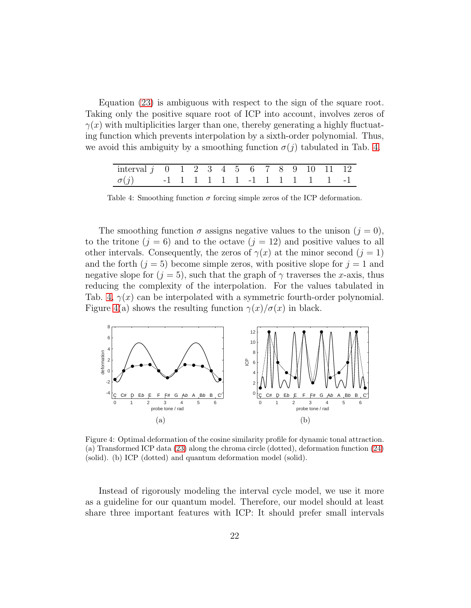Equation [\(23\)](#page-20-1) is ambiguous with respect to the sign of the square root. Taking only the positive square root of ICP into account, involves zeros of  $\gamma(x)$  with multiplicities larger than one, thereby generating a highly fluctuating function which prevents interpolation by a sixth-order polynomial. Thus, we avoid this ambiguity by a smoothing function  $\sigma(j)$  tabulated in Tab. [4.](#page-21-1)

| interval $j \t0 \t1 \t2 \t3 \t4 \t5 \t6 \t7 \t8 \t9 \t10 \t11 \t12$ |  |  |  |  |  |  |  |
|---------------------------------------------------------------------|--|--|--|--|--|--|--|
| $\sigma(j)$ -1 1 1 1 1 1 -1 1 1 1 1 1 -1                            |  |  |  |  |  |  |  |

<span id="page-21-1"></span>Table 4: Smoothing function  $\sigma$  forcing simple zeros of the ICP deformation.

The smoothing function  $\sigma$  assigns negative values to the unison  $(j = 0)$ , to the tritone  $(j = 6)$  and to the octave  $(j = 12)$  and positive values to all other intervals. Consequently, the zeros of  $\gamma(x)$  at the minor second  $(j = 1)$ and the forth  $(j = 5)$  become simple zeros, with positive slope for  $j = 1$  and negative slope for  $(j = 5)$ , such that the graph of  $\gamma$  traverses the x-axis, thus reducing the complexity of the interpolation. For the values tabulated in Tab. [4,](#page-21-1)  $\gamma(x)$  can be interpolated with a symmetric fourth-order polynomial. Figure [4\(](#page-21-0)a) shows the resulting function  $\gamma(x)/\sigma(x)$  in black.



<span id="page-21-0"></span>Figure 4: Optimal deformation of the cosine similarity profile for dynamic tonal attraction. (a) Transformed ICP data [\(23\)](#page-20-1) along the chroma circle (dotted), deformation function [\(24\)](#page-22-1) (solid). (b) ICP (dotted) and quantum deformation model (solid).

Instead of rigorously modeling the interval cycle model, we use it more as a guideline for our quantum model. Therefore, our model should at least share three important features with ICP: It should prefer small intervals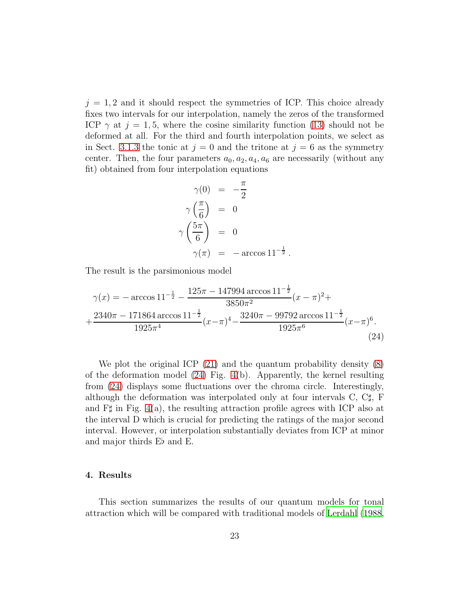$j = 1, 2$  and it should respect the symmetries of ICP. This choice already fixes two intervals for our interpolation, namely the zeros of the transformed ICP  $\gamma$  at  $j = 1, 5$ , where the cosine similarity function [\(13\)](#page-14-2) should not be deformed at all. For the third and fourth interpolation points, we select as in Sect. [3.1.3](#page-14-3) the tonic at  $j = 0$  and the tritone at  $j = 6$  as the symmetry center. Then, the four parameters  $a_0, a_2, a_4, a_6$  are necessarily (without any fit) obtained from four interpolation equations

<span id="page-22-1"></span>
$$
\gamma(0) = -\frac{\pi}{2}
$$
  
\n
$$
\gamma\left(\frac{\pi}{6}\right) = 0
$$
  
\n
$$
\gamma\left(\frac{5\pi}{6}\right) = 0
$$
  
\n
$$
\gamma(\pi) = -\arccos 11^{-\frac{1}{2}}.
$$

The result is the parsimonious model

$$
\gamma(x) = -\arccos 11^{-\frac{1}{2}} - \frac{125\pi - 147994 \arccos 11^{-\frac{1}{2}}}{3850\pi^2} (x - \pi)^2 +
$$
  
 
$$
+ \frac{2340\pi - 171864 \arccos 11^{-\frac{1}{2}}}{1925\pi^4} (x - \pi)^4 - \frac{3240\pi - 99792 \arccos 11^{-\frac{1}{2}}}{1925\pi^6} (x - \pi)^6.
$$
 (24)

We plot the original ICP  $(21)$  and the quantum probability density  $(8)$ of the deformation model [\(24\)](#page-22-1) Fig. [4\(](#page-21-0)b). Apparently, the kernel resulting from [\(24\)](#page-22-1) displays some fluctuations over the chroma circle. Interestingly, although the deformation was interpolated only at four intervals  $C, C\sharp, F$ and  $\Gamma\sharp$  in Fig. [4\(](#page-21-0)a), the resulting attraction profile agrees with ICP also at the interval D which is crucial for predicting the ratings of the major second interval. However, or interpolation substantially deviates from ICP at minor and major thirds E♭ and E.

# <span id="page-22-0"></span>4. Results

This section summarizes the results of our quantum models for tonal attraction which will be compared with traditional models of [Lerdahl](#page-35-3) [\(1988](#page-35-3),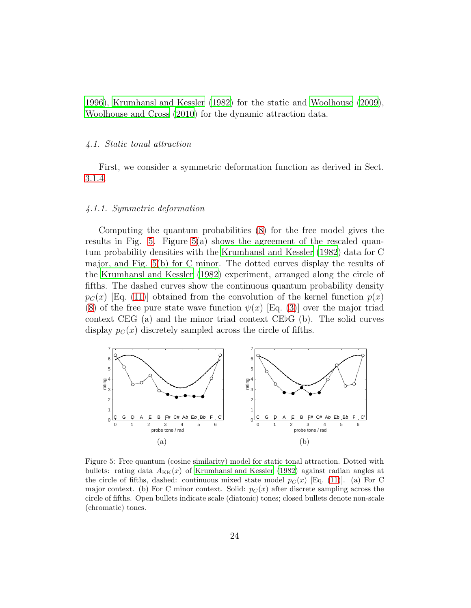<span id="page-23-0"></span>[1996](#page-35-4)), [Krumhansl and Kessler \(1982](#page-35-1)) for the static and [Woolhouse \(2009\)](#page-37-1), [Woolhouse and Cross \(2010\)](#page-37-5) for the dynamic attraction data.

# *4.1. Static tonal attraction*

First, we consider a symmetric deformation function as derived in Sect. [3.1.4.](#page-15-1)

# *4.1.1. Symmetric deformation*

Computing the quantum probabilities [\(8\)](#page-13-1) for the free model gives the results in Fig. [5.](#page-23-1) Figure  $5(a)$  shows the agreement of the rescaled quantum probability densities with the [Krumhansl and Kessler \(1982](#page-35-1)) data for C major, and Fig. [5\(](#page-23-1)b) for C minor. The dotted curves display the results of the [Krumhansl and Kessler \(1982\)](#page-35-1) experiment, arranged along the circle of fifths. The dashed curves show the continuous quantum probability density  $p_C(x)$  [Eq. [\(11\)](#page-13-0)] obtained from the convolution of the kernel function  $p(x)$ [\(8\)](#page-13-1) of the free pure state wave function  $\psi(x)$  [Eq. [\(3\)](#page-11-1)] over the major triad context CEG (a) and the minor triad context CE♭G (b). The solid curves display  $p_C(x)$  discretely sampled across the circle of fifths.



<span id="page-23-1"></span>Figure 5: Free quantum (cosine similarity) model for static tonal attraction. Dotted with bullets: rating data  $A_{\text{KK}}(x)$  of [Krumhansl and Kessler \(1982\)](#page-35-1) against radian angles at the circle of fifths, dashed: continuous mixed state model  $p_C(x)$  [Eq. [\(11\)](#page-13-0)]. (a) For C major context. (b) For C minor context. Solid:  $p_C(x)$  after discrete sampling across the circle of fifths. Open bullets indicate scale (diatonic) tones; closed bullets denote non-scale (chromatic) tones.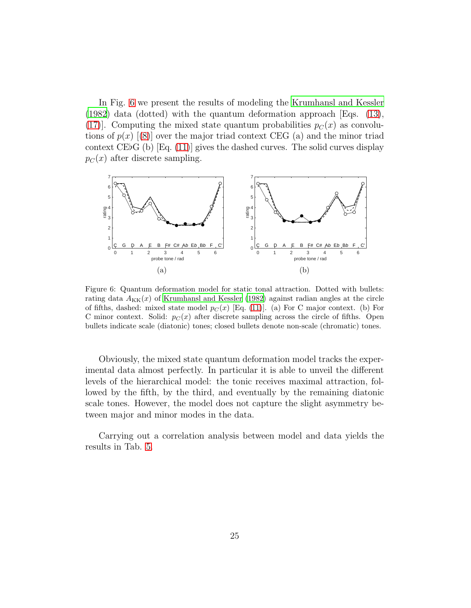In Fig. [6](#page-24-0) we present the results of modeling the [Krumhansl and Kessler](#page-35-1) [\(1982\)](#page-35-1) data (dotted) with the quantum deformation approach [Eqs. [\(13\)](#page-14-2), [\(17\)](#page-16-1). Computing the mixed state quantum probabilities  $p_C(x)$  as convolutions of  $p(x)$  [[\(8\)](#page-13-1)] over the major triad context CEG (a) and the minor triad context CE♭G (b) [Eq. [\(11\)](#page-13-0)] gives the dashed curves. The solid curves display  $p_C(x)$  after discrete sampling.



<span id="page-24-0"></span>Figure 6: Quantum deformation model for static tonal attraction. Dotted with bullets: rating data  $A_{\text{KK}}(x)$  of [Krumhansl and Kessler \(1982\)](#page-35-1) against radian angles at the circle of fifths, dashed: mixed state model  $p_C(x)$  [Eq. [\(11\)](#page-13-0)]. (a) For C major context. (b) For C minor context. Solid:  $p_C(x)$  after discrete sampling across the circle of fifths. Open bullets indicate scale (diatonic) tones; closed bullets denote non-scale (chromatic) tones.

Obviously, the mixed state quantum deformation model tracks the experimental data almost perfectly. In particular it is able to unveil the different levels of the hierarchical model: the tonic receives maximal attraction, followed by the fifth, by the third, and eventually by the remaining diatonic scale tones. However, the model does not capture the slight asymmetry between major and minor modes in the data.

Carrying out a correlation analysis between model and data yields the results in Tab. [5.](#page-25-0)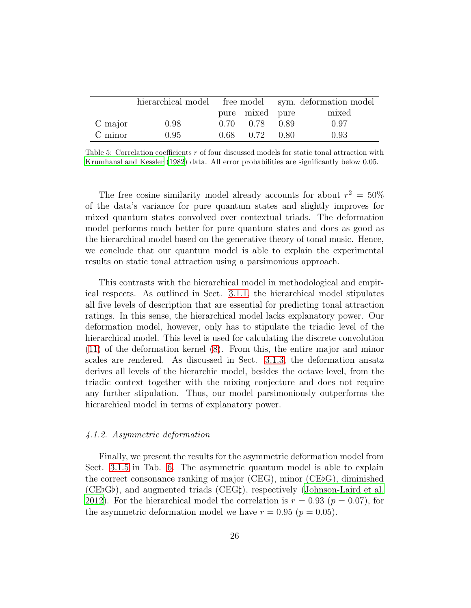|         |      |      |                 | hierarchical model free model sym. deformation model |       |  |
|---------|------|------|-----------------|------------------------------------------------------|-------|--|
|         |      |      | pure mixed pure |                                                      | mixed |  |
| C major | 0.98 | 0.70 | 0.78            | 0.89                                                 | 0.97  |  |
| C minor | 0.95 | 0.68 | 0.72            | 0.80                                                 | 0.93  |  |

<span id="page-25-0"></span>Table 5: Correlation coefficients r of four discussed models for static tonal attraction with [Krumhansl and Kessler \(1982\)](#page-35-1) data. All error probabilities are significantly below 0.05.

The free cosine similarity model already accounts for about  $r^2 = 50\%$ of the data's variance for pure quantum states and slightly improves for mixed quantum states convolved over contextual triads. The deformation model performs much better for pure quantum states and does as good as the hierarchical model based on the generative theory of tonal music. Hence, we conclude that our quantum model is able to explain the experimental results on static tonal attraction using a parsimonious approach.

This contrasts with the hierarchical model in methodological and empirical respects. As outlined in Sect. [3.1.1,](#page-9-2) the hierarchical model stipulates all five levels of description that are essential for predicting tonal attraction ratings. In this sense, the hierarchical model lacks explanatory power. Our deformation model, however, only has to stipulate the triadic level of the hierarchical model. This level is used for calculating the discrete convolution [\(11\)](#page-13-0) of the deformation kernel [\(8\)](#page-13-1). From this, the entire major and minor scales are rendered. As discussed in Sect. [3.1.3,](#page-14-3) the deformation ansatz derives all levels of the hierarchic model, besides the octave level, from the triadic context together with the mixing conjecture and does not require any further stipulation. Thus, our model parsimoniously outperforms the hierarchical model in terms of explanatory power.

# <span id="page-25-1"></span>*4.1.2. Asymmetric deformation*

Finally, we present the results for the asymmetric deformation model from Sect. [3.1.5](#page-17-0) in Tab. [6.](#page-26-1) The asymmetric quantum model is able to explain the correct consonance ranking of major (CEG), minor (CE♭G), diminished (CE♭G♭), and augmented triads (CEG♯), respectively [\(Johnson-Laird et al.](#page-34-6) [2012](#page-34-6)). For the hierarchical model the correlation is  $r = 0.93$  ( $p = 0.07$ ), for the asymmetric deformation model we have  $r = 0.95$  ( $p = 0.05$ ).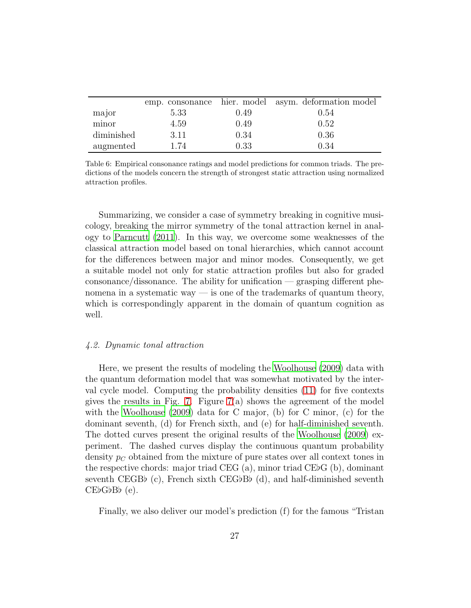|            |      |      | emp. consonance hier. model asym. deformation model |
|------------|------|------|-----------------------------------------------------|
| major      | 5.33 | 0.49 | 0.54                                                |
| minor      | 4.59 | 0.49 | 0.52                                                |
| diminished | 3.11 | 0.34 | 0.36                                                |
| augmented  | 1.74 | 0.33 | 0.34                                                |

<span id="page-26-1"></span>Table 6: Empirical consonance ratings and model predictions for common triads. The predictions of the models concern the strength of strongest static attraction using normalized attraction profiles.

Summarizing, we consider a case of symmetry breaking in cognitive musicology, breaking the mirror symmetry of the tonal attraction kernel in analogy to [Parncutt \(2011\)](#page-36-0). In this way, we overcome some weaknesses of the classical attraction model based on tonal hierarchies, which cannot account for the differences between major and minor modes. Consequently, we get a suitable model not only for static attraction profiles but also for graded consonance/dissonance. The ability for unification — grasping different phenomena in a systematic way  $\overline{\phantom{a}}$  is one of the trademarks of quantum theory, which is correspondingly apparent in the domain of quantum cognition as well.

# <span id="page-26-0"></span>*4.2. Dynamic tonal attraction*

Here, we present the results of modeling the [Woolhouse \(2009](#page-37-1)) data with the quantum deformation model that was somewhat motivated by the interval cycle model. Computing the probability densities [\(11\)](#page-13-0) for five contexts gives the results in Fig. [7.](#page-28-0) Figure [7\(](#page-28-0)a) shows the agreement of the model with the [Woolhouse \(2009](#page-37-1)) data for C major, (b) for C minor, (c) for the dominant seventh, (d) for French sixth, and (e) for half-diminished seventh. The dotted curves present the original results of the [Woolhouse \(2009\)](#page-37-1) experiment. The dashed curves display the continuous quantum probability density  $p<sub>C</sub>$  obtained from the mixture of pure states over all context tones in the respective chords: major triad CEG (a), minor triad CE♭G (b), dominant seventh CEGB♭ (c), French sixth CEG♭B♭ (d), and half-diminished seventh CE♭G♭B♭ (e).

Finally, we also deliver our model's prediction (f) for the famous "Tristan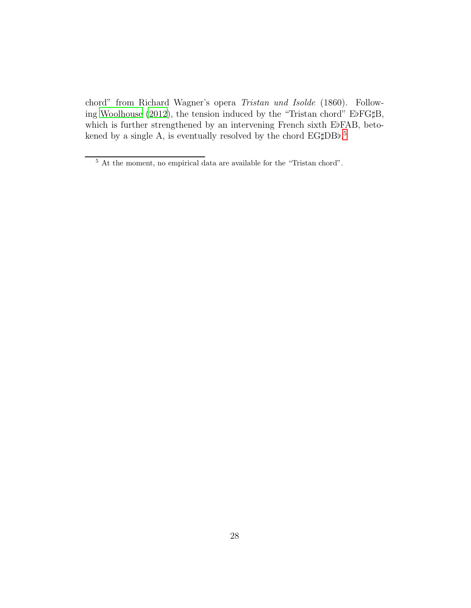chord" from Richard Wagner's opera *Tristan und Isolde* (1860). Following [Woolhouse \(2012](#page-37-7)), the tension induced by the "Tristan chord" E♭FG♯B, which is further strengthened by an intervening French sixth E♭FAB, beto-kened by a single A, is eventually resolved by the chord EG‡DBb.<sup>[5](#page-27-0)</sup>

<span id="page-27-0"></span> $^{\rm 5}$  At the moment, no empirical data are available for the "Tristan chord".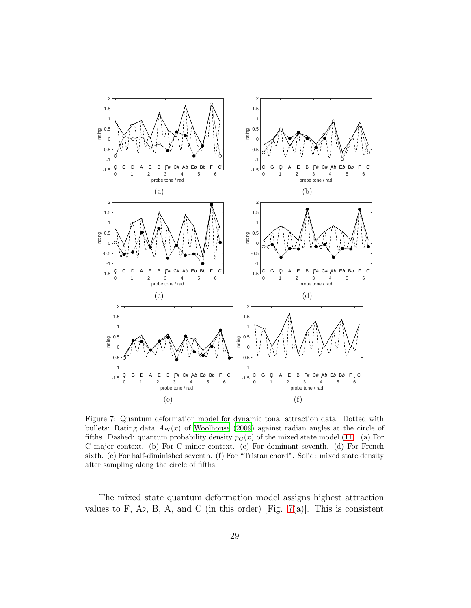

<span id="page-28-0"></span>Figure 7: Quantum deformation model for dynamic tonal attraction data. Dotted with bullets: Rating data  $A_W(x)$  of [Woolhouse \(2009\)](#page-37-1) against radian angles at the circle of fifths. Dashed: quantum probability density  $p_C(x)$  of the mixed state model [\(11\)](#page-13-0). (a) For C major context. (b) For C minor context. (c) For dominant seventh. (d) For French sixth. (e) For half-diminished seventh. (f) For "Tristan chord". Solid: mixed state density after sampling along the circle of fifths.

The mixed state quantum deformation model assigns highest attraction values to F, A $b$ , B, A, and C (in this order) [Fig. [7\(](#page-28-0)a)]. This is consistent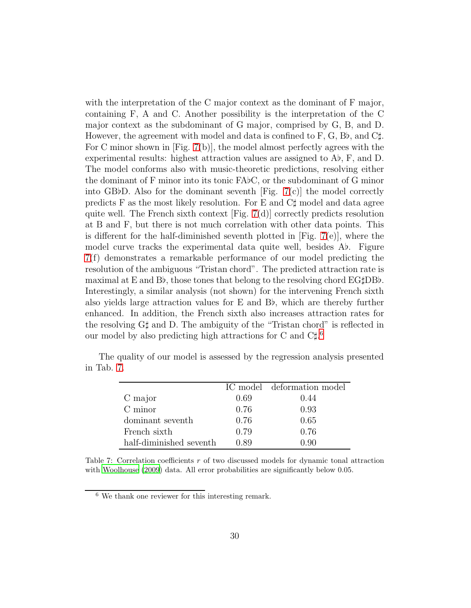with the interpretation of the C major context as the dominant of F major, containing F, A and C. Another possibility is the interpretation of the C major context as the subdominant of G major, comprised by G, B, and D. However, the agreement with model and data is confined to F, G, B $\flat$ , and C $\sharp$ . For C minor shown in [Fig. [7\(](#page-28-0)b)], the model almost perfectly agrees with the experimental results: highest attraction values are assigned to A♭, F, and D. The model conforms also with music-theoretic predictions, resolving either the dominant of F minor into its tonic FA♭C, or the subdominant of G minor into GB♭D. Also for the dominant seventh [Fig.  $7(c)$ ] the model correctly predicts F as the most likely resolution. For E and  $C\sharp$  model and data agree quite well. The French sixth context  $[Fig. 7(d)]$  $[Fig. 7(d)]$  $[Fig. 7(d)]$  correctly predicts resolution at B and F, but there is not much correlation with other data points. This is different for the half-diminished seventh plotted in  $[Fig. 7(e)]$  $[Fig. 7(e)]$  $[Fig. 7(e)]$ , where the model curve tracks the experimental data quite well, besides A♭. Figure [7\(](#page-28-0)f) demonstrates a remarkable performance of our model predicting the resolution of the ambiguous "Tristan chord". The predicted attraction rate is maximal at E and B♭, those tones that belong to the resolving chord EG♯DB♭. Interestingly, a similar analysis (not shown) for the intervening French sixth also yields large attraction values for E and B♭, which are thereby further enhanced. In addition, the French sixth also increases attraction rates for the resolving G♯ and D. The ambiguity of the "Tristan chord" is reflected in our model by also predicting high attractions for C and  $C\sharp$ <sup>[6](#page-29-0)</sup>

|                         |      | IC model deformation model |
|-------------------------|------|----------------------------|
| C major                 | 0.69 | 0.44                       |
| C minor                 | 0.76 | 0.93                       |
| dominant seventh        | 0.76 | 0.65                       |
| French sixth            | 0.79 | 0.76                       |
| half-diminished seventh | 0.89 |                            |

The quality of our model is assessed by the regression analysis presented in Tab. [7.](#page-29-1)

<span id="page-29-1"></span>Table 7: Correlation coefficients  $r$  of two discussed models for dynamic tonal attraction with [Woolhouse \(2009\)](#page-37-1) data. All error probabilities are significantly below 0.05.

<span id="page-29-0"></span><sup>6</sup> We thank one reviewer for this interesting remark.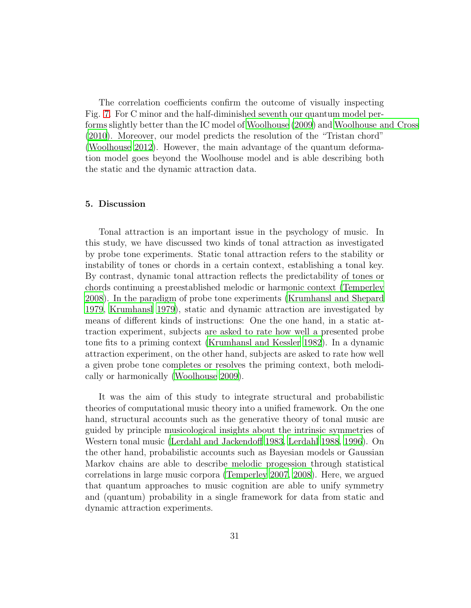The correlation coefficients confirm the outcome of visually inspecting Fig. [7.](#page-28-0) For C minor and the half-diminished seventh our quantum model performs slightly better than the IC model of [Woolhouse \(2009](#page-37-1)) and [Woolhouse and Cross](#page-37-5) [\(2010\)](#page-37-5). Moreover, our model predicts the resolution of the "Tristan chord" [\(Woolhouse 2012](#page-37-7)). However, the main advantage of the quantum deformation model goes beyond the Woolhouse model and is able describing both the static and the dynamic attraction data.

# 5. Discussion

Tonal attraction is an important issue in the psychology of music. In this study, we have discussed two kinds of tonal attraction as investigated by probe tone experiments. Static tonal attraction refers to the stability or instability of tones or chords in a certain context, establishing a tonal key. By contrast, dynamic tonal attraction reflects the predictability of tones or chords continuing a preestablished melodic or harmonic context [\(Temperley](#page-37-0) [2008](#page-37-0)). In the paradigm of probe tone experiments [\(Krumhansl and Shepard](#page-35-0) [1979](#page-35-0), [Krumhansl 1979\)](#page-34-0), static and dynamic attraction are investigated by means of different kinds of instructions: One the one hand, in a static attraction experiment, subjects are asked to rate how well a presented probe tone fits to a priming context [\(Krumhansl and Kessler 1982](#page-35-1)). In a dynamic attraction experiment, on the other hand, subjects are asked to rate how well a given probe tone completes or resolves the priming context, both melodically or harmonically [\(Woolhouse 2009\)](#page-37-1).

It was the aim of this study to integrate structural and probabilistic theories of computational music theory into a unified framework. On the one hand, structural accounts such as the generative theory of tonal music are guided by principle musicological insights about the intrinsic symmetries of Western tonal music [\(Lerdahl and Jackendoff 1983](#page-35-2), [Lerdahl 1988,](#page-35-3) [1996\)](#page-35-4). On the other hand, probabilistic accounts such as Bayesian models or Gaussian Markov chains are able to describe melodic progession through statistical correlations in large music corpora [\(Temperley 2007,](#page-37-4) [2008\)](#page-37-0). Here, we argued that quantum approaches to music cognition are able to unify symmetry and (quantum) probability in a single framework for data from static and dynamic attraction experiments.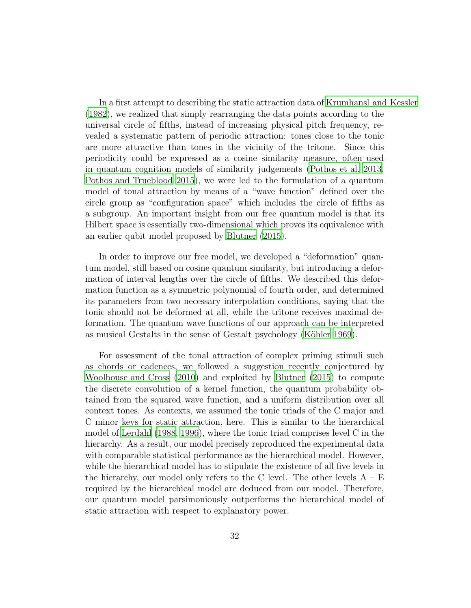In a first attempt to describing the static attraction data of [Krumhansl and Kessler](#page-35-1) [\(1982\)](#page-35-1), we realized that simply rearranging the data points according to the universal circle of fifths, instead of increasing physical pitch frequency, revealed a systematic pattern of periodic attraction: tones close to the tonic are more attractive than tones in the vicinity of the tritone. Since this periodicity could be expressed as a cosine similarity measure, often used in quantum cognition models of similarity judgements [\(Pothos et al. 2013](#page-36-7), [Pothos and Trueblood 2015\)](#page-36-8), we were led to the formulation of a quantum model of tonal attraction by means of a "wave function" defined over the circle group as "configuration space" which includes the circle of fifths as a subgroup. An important insight from our free quantum model is that its Hilbert space is essentially two-dimensional which proves its equivalence with an earlier qubit model proposed by [Blutner \(2015\)](#page-34-4).

In order to improve our free model, we developed a "deformation" quantum model, still based on cosine quantum similarity, but introducing a deformation of interval lengths over the circle of fifths. We described this deformation function as a symmetric polynomial of fourth order, and determined its parameters from two necessary interpolation conditions, saying that the tonic should not be deformed at all, while the tritone receives maximal deformation. The quantum wave functions of our approach can be interpreted as musical Gestalts in the sense of Gestalt psychology (Köhler 1969).

For assessment of the tonal attraction of complex priming stimuli such as chords or cadences, we followed a suggestion recently conjectured by [Woolhouse and Cross \(2010](#page-37-5)) and exploited by [Blutner \(2015](#page-34-4)) to compute the discrete convolution of a kernel function, the quantum probability obtained from the squared wave function, and a uniform distribution over all context tones. As contexts, we assumed the tonic triads of the C major and C minor keys for static attraction, here. This is similar to the hierarchical model of [Lerdahl \(1988](#page-35-3), [1996](#page-35-4)), where the tonic triad comprises level C in the hierarchy. As a result, our model precisely reproduced the experimental data with comparable statistical performance as the hierarchical model. However, while the hierarchical model has to stipulate the existence of all five levels in the hierarchy, our model only refers to the C level. The other levels  $A - E$ required by the hierarchical model are deduced from our model. Therefore, our quantum model parsimoniously outperforms the hierarchical model of static attraction with respect to explanatory power.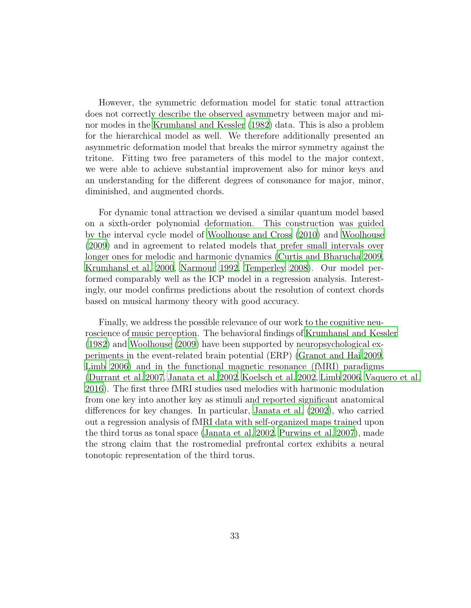However, the symmetric deformation model for static tonal attraction does not correctly describe the observed asymmetry between major and minor modes in the [Krumhansl and Kessler \(1982\)](#page-35-1) data. This is also a problem for the hierarchical model as well. We therefore additionally presented an asymmetric deformation model that breaks the mirror symmetry against the tritone. Fitting two free parameters of this model to the major context, we were able to achieve substantial improvement also for minor keys and an understanding for the different degrees of consonance for major, minor, diminished, and augmented chords.

For dynamic tonal attraction we devised a similar quantum model based on a sixth-order polynomial deformation. This construction was guided by the interval cycle model of [Woolhouse and Cross \(2010](#page-37-5)) and [Woolhouse](#page-37-1) [\(2009\)](#page-37-1) and in agreement to related models that prefer small intervals over longer ones for melodic and harmonic dynamics [\(Curtis and Bharucha](#page-34-7) [2009](#page-34-7), [Krumhansl et al. 2000](#page-35-10), [Narmour 1992](#page-36-10), [Temperley 2008](#page-37-0)). Our model performed comparably well as the ICP model in a regression analysis. Interestingly, our model confirms predictions about the resolution of context chords based on musical harmony theory with good accuracy.

Finally, we address the possible relevance of our work to the cognitive neuroscience of music perception. The behavioral findings of [Krumhansl and Kessler](#page-35-1) [\(1982\)](#page-35-1) and [Woolhouse \(2009\)](#page-37-1) have been supported by neuropsychological experiments in the event-related brain potential (ERP) [\(Granot and](#page-34-8) Hai [2009](#page-34-8), [Limb 2006\)](#page-35-11) and in the functional magnetic resonance (fMRI) paradigms [\(Durrant et al. 2007,](#page-34-9) [Janata et al. 2002,](#page-34-10) [Koelsch et al. 2002,](#page-34-11) [Limb 2006,](#page-35-11) [Vaquero et al.](#page-37-9) [2016](#page-37-9)). The first three fMRI studies used melodies with harmonic modulation from one key into another key as stimuli and reported significant anatomical differences for key changes. In particular, [Janata et al. \(2002\)](#page-34-10), who carried out a regression analysis of fMRI data with self-organized maps trained upon the third torus as tonal space [\(Janata et al. 2002,](#page-34-10) [Purwins et al. 2007](#page-37-10)), made the strong claim that the rostromedial prefrontal cortex exhibits a neural tonotopic representation of the third torus.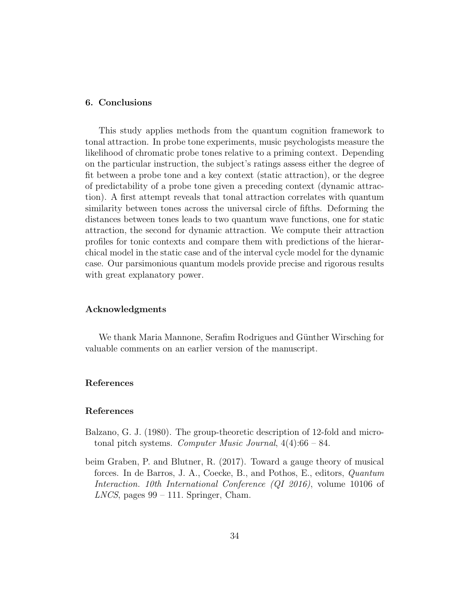# 6. Conclusions

This study applies methods from the quantum cognition framework to tonal attraction. In probe tone experiments, music psychologists measure the likelihood of chromatic probe tones relative to a priming context. Depending on the particular instruction, the subject's ratings assess either the degree of fit between a probe tone and a key context (static attraction), or the degree of predictability of a probe tone given a preceding context (dynamic attraction). A first attempt reveals that tonal attraction correlates with quantum similarity between tones across the universal circle of fifths. Deforming the distances between tones leads to two quantum wave functions, one for static attraction, the second for dynamic attraction. We compute their attraction profiles for tonic contexts and compare them with predictions of the hierarchical model in the static case and of the interval cycle model for the dynamic case. Our parsimonious quantum models provide precise and rigorous results with great explanatory power.

#### Acknowledgments

We thank Maria Mannone, Serafim Rodrigues and Günther Wirsching for valuable comments on an earlier version of the manuscript.

# References

# References

- <span id="page-33-0"></span>Balzano, G. J. (1980). The group-theoretic description of 12-fold and microtonal pitch systems. *Computer Music Journal*, 4(4):66 – 84.
- <span id="page-33-1"></span>beim Graben, P. and Blutner, R. (2017). Toward a gauge theory of musical forces. In de Barros, J. A., Coecke, B., and Pothos, E., editors, *Quantum Interaction. 10th International Conference (QI 2016)*, volume 10106 of *LNCS*, pages 99 – 111. Springer, Cham.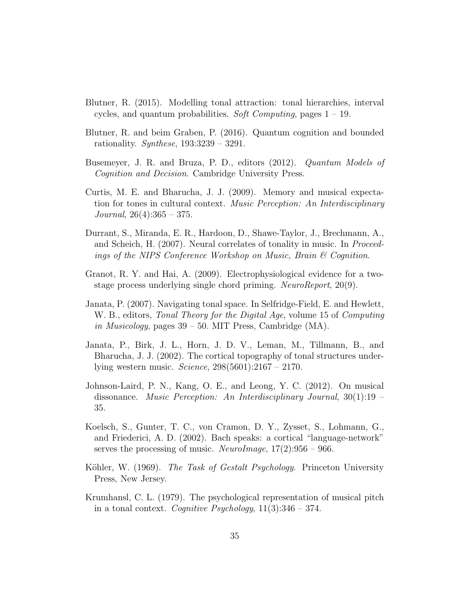- <span id="page-34-4"></span>Blutner, R. (2015). Modelling tonal attraction: tonal hierarchies, interval cycles, and quantum probabilities. *Soft Computing*, pages 1 – 19.
- <span id="page-34-3"></span>Blutner, R. and beim Graben, P. (2016). Quantum cognition and bounded rationality. *Synthese*, 193:3239 – 3291.
- <span id="page-34-1"></span>Busemeyer, J. R. and Bruza, P. D., editors (2012). *Quantum Models of Cognition and Decision*. Cambridge University Press.
- <span id="page-34-7"></span>Curtis, M. E. and Bharucha, J. J. (2009). Memory and musical expectation for tones in cultural context. *Music Perception: An Interdisciplinary Journal*, 26(4):365 – 375.
- <span id="page-34-9"></span>Durrant, S., Miranda, E. R., Hardoon, D., Shawe-Taylor, J., Brechmann, A., and Scheich, H. (2007). Neural correlates of tonality in music. In *Proceedings of the NIPS Conference Workshop on Music, Brain & Cognition*.
- <span id="page-34-8"></span>Granot, R. Y. and Hai, A. (2009). Electrophysiological evidence for a twostage process underlying single chord priming. *NeuroReport*, 20(9).
- <span id="page-34-5"></span>Janata, P. (2007). Navigating tonal space. In Selfridge-Field, E. and Hewlett, W. B., editors, *Tonal Theory for the Digital Age*, volume 15 of *Computing in Musicology*, pages 39 – 50. MIT Press, Cambridge (MA).
- <span id="page-34-10"></span>Janata, P., Birk, J. L., Horn, J. D. V., Leman, M., Tillmann, B., and Bharucha, J. J. (2002). The cortical topography of tonal structures underlying western music. *Science*, 298(5601):2167 – 2170.
- <span id="page-34-6"></span>Johnson-Laird, P. N., Kang, O. E., and Leong, Y. C. (2012). On musical dissonance. *Music Perception: An Interdisciplinary Journal*, 30(1):19 – 35.
- <span id="page-34-11"></span>Koelsch, S., Gunter, T. C., von Cramon, D. Y., Zysset, S., Lohmann, G., and Friederici, A. D. (2002). Bach speaks: a cortical "language-network" serves the processing of music. *NeuroImage*, 17(2):956 – 966.
- <span id="page-34-2"></span>Köhler, W. (1969). *The Task of Gestalt Psychology*. Princeton University Press, New Jersey.
- <span id="page-34-0"></span>Krumhansl, C. L. (1979). The psychological representation of musical pitch in a tonal context. *Cognitive Psychology*, 11(3):346 – 374.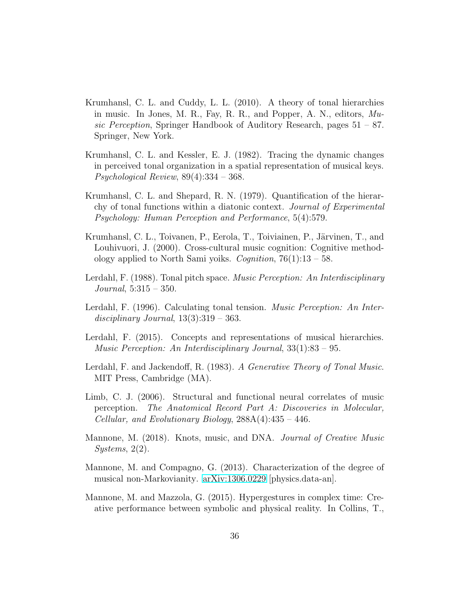- <span id="page-35-5"></span>Krumhansl, C. L. and Cuddy, L. L. (2010). A theory of tonal hierarchies in music. In Jones, M. R., Fay, R. R., and Popper, A. N., editors, *Music Perception*, Springer Handbook of Auditory Research, pages 51 – 87. Springer, New York.
- <span id="page-35-1"></span>Krumhansl, C. L. and Kessler, E. J. (1982). Tracing the dynamic changes in perceived tonal organization in a spatial representation of musical keys. *Psychological Review*, 89(4):334 – 368.
- <span id="page-35-0"></span>Krumhansl, C. L. and Shepard, R. N. (1979). Quantification of the hierarchy of tonal functions within a diatonic context. *Journal of Experimental Psychology: Human Perception and Performance*, 5(4):579.
- <span id="page-35-10"></span>Krumhansl, C. L., Toivanen, P., Eerola, T., Toiviainen, P., Järvinen, T., and Louhivuori, J. (2000). Cross-cultural music cognition: Cognitive methodology applied to North Sami yoiks. *Cognition*, 76(1):13 – 58.
- <span id="page-35-3"></span>Lerdahl, F. (1988). Tonal pitch space. *Music Perception: An Interdisciplinary Journal*, 5:315 – 350.
- <span id="page-35-4"></span>Lerdahl, F. (1996). Calculating tonal tension. *Music Perception: An Interdisciplinary Journal*, 13(3):319 – 363.
- <span id="page-35-6"></span>Lerdahl, F. (2015). Concepts and representations of musical hierarchies. *Music Perception: An Interdisciplinary Journal*, 33(1):83 – 95.
- <span id="page-35-2"></span>Lerdahl, F. and Jackendoff, R. (1983). *A Generative Theory of Tonal Music*. MIT Press, Cambridge (MA).
- <span id="page-35-11"></span>Limb, C. J. (2006). Structural and functional neural correlates of music perception. *The Anatomical Record Part A: Discoveries in Molecular, Cellular, and Evolutionary Biology*, 288A(4):435 – 446.
- <span id="page-35-9"></span>Mannone, M. (2018). Knots, music, and DNA. *Journal of Creative Music Systems*, 2(2).
- <span id="page-35-7"></span>Mannone, M. and Compagno, G. (2013). Characterization of the degree of musical non-Markovianity. [arXiv:1306.0229](http://arxiv.org/abs/1306.0229) [physics.data-an].
- <span id="page-35-8"></span>Mannone, M. and Mazzola, G. (2015). Hypergestures in complex time: Creative performance between symbolic and physical reality. In Collins, T.,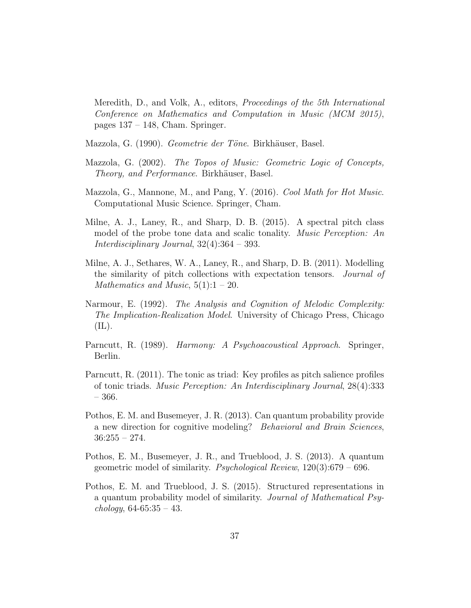Meredith, D., and Volk, A., editors, *Proceedings of the 5th International Conference on Mathematics and Computation in Music (MCM 2015)*, pages  $137 - 148$ , Cham. Springer.

<span id="page-36-4"></span>Mazzola, G. (1990). *Geometrie der Töne*. Birkhäuser, Basel.

- <span id="page-36-5"></span>Mazzola, G. (2002). *The Topos of Music: Geometric Logic of Concepts, Theory, and Performance.* Birkhäuser, Basel.
- <span id="page-36-6"></span>Mazzola, G., Mannone, M., and Pang, Y. (2016). *Cool Math for Hot Music*. Computational Music Science. Springer, Cham.
- <span id="page-36-2"></span>Milne, A. J., Laney, R., and Sharp, D. B. (2015). A spectral pitch class model of the probe tone data and scalic tonality. *Music Perception: An Interdisciplinary Journal*, 32(4):364 – 393.
- <span id="page-36-1"></span>Milne, A. J., Sethares, W. A., Laney, R., and Sharp, D. B. (2011). Modelling the similarity of pitch collections with expectation tensors. *Journal of Mathematics and Music*,  $5(1)$ : $1 - 20$ .
- <span id="page-36-10"></span>Narmour, E. (1992). *The Analysis and Cognition of Melodic Complexity: The Implication-Realization Model*. University of Chicago Press, Chicago  $(IL).$
- <span id="page-36-9"></span>Parncutt, R. (1989). *Harmony: A Psychoacoustical Approach*. Springer, Berlin.
- <span id="page-36-0"></span>Parncutt, R. (2011). The tonic as triad: Key profiles as pitch salience profiles of tonic triads. *Music Perception: An Interdisciplinary Journal*, 28(4):333 – 366.
- <span id="page-36-3"></span>Pothos, E. M. and Busemeyer, J. R. (2013). Can quantum probability provide a new direction for cognitive modeling? *Behavioral and Brain Sciences*,  $36:255 - 274.$
- <span id="page-36-7"></span>Pothos, E. M., Busemeyer, J. R., and Trueblood, J. S. (2013). A quantum geometric model of similarity. *Psychological Review*, 120(3):679 – 696.
- <span id="page-36-8"></span>Pothos, E. M. and Trueblood, J. S. (2015). Structured representations in a quantum probability model of similarity. *Journal of Mathematical Psychology*, 64-65:35 – 43.